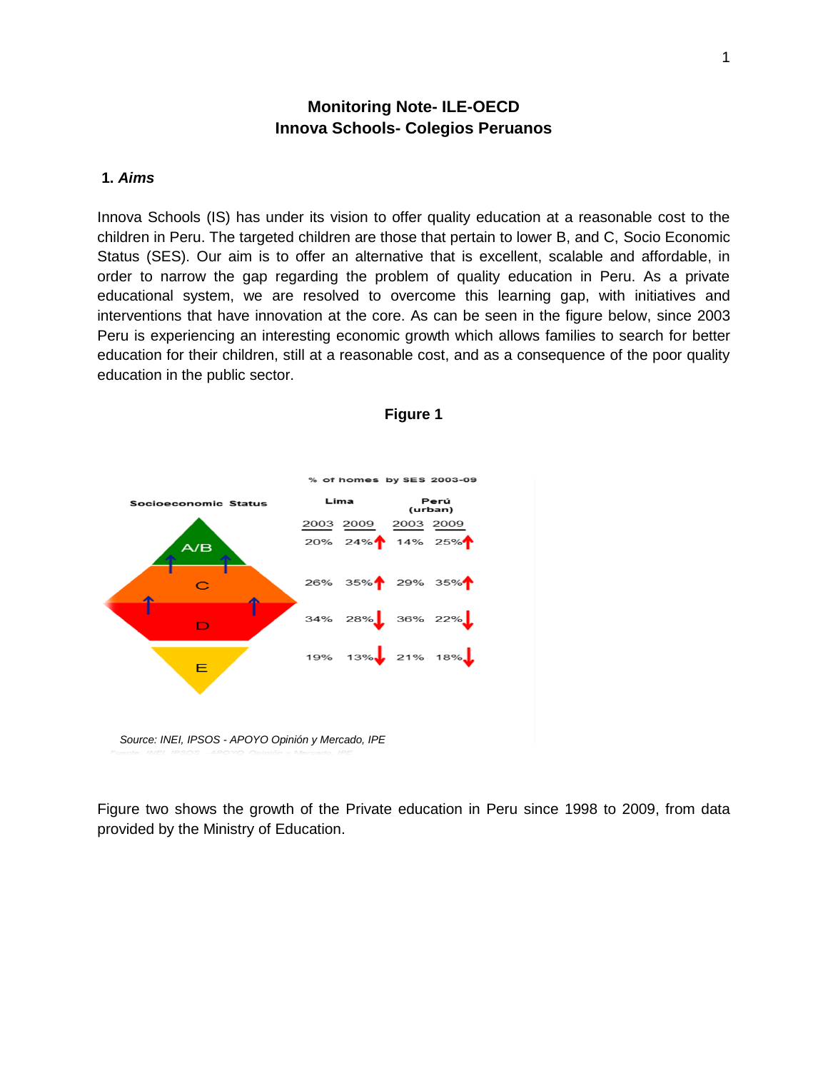## **Monitoring Note- ILE-OECD Innova Schools- Colegios Peruanos**

#### **1.** *Aims*

Innova Schools (IS) has under its vision to offer quality education at a reasonable cost to the children in Peru. The targeted children are those that pertain to lower B, and C, Socio Economic Status (SES). Our aim is to offer an alternative that is excellent, scalable and affordable, in order to narrow the gap regarding the problem of quality education in Peru. As a private educational system, we are resolved to overcome this learning gap, with initiatives and interventions that have innovation at the core. As can be seen in the figure below, since 2003 Peru is experiencing an interesting economic growth which allows families to search for better education for their children, still at a reasonable cost, and as a consequence of the poor quality education in the public sector.





*Source: INEI, IPSOS - APOYO Opinión y Mercado, IPE*

Figure two shows the growth of the Private education in Peru since 1998 to 2009, from data provided by the Ministry of Education.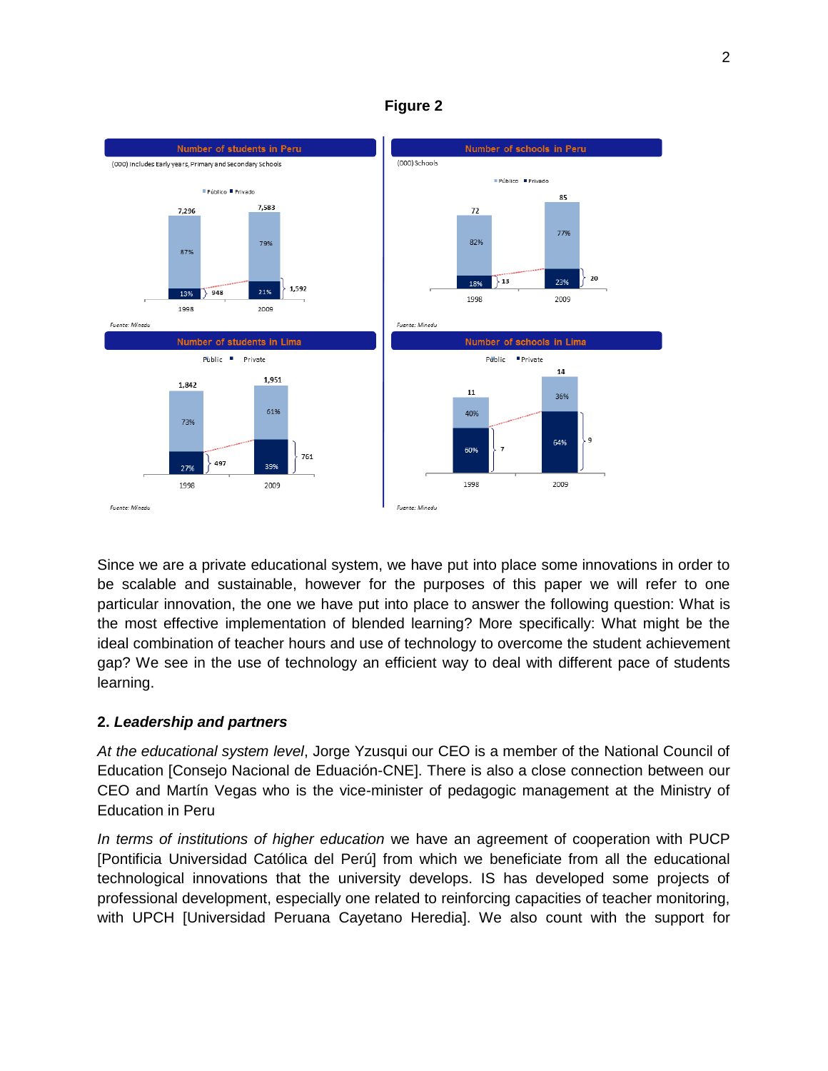![](_page_1_Figure_0.jpeg)

**Figure 2**

Since we are a private educational system, we have put into place some innovations in order to be scalable and sustainable, however for the purposes of this paper we will refer to one particular innovation, the one we have put into place to answer the following question: What is the most effective implementation of blended learning? More specifically: What might be the ideal combination of teacher hours and use of technology to overcome the student achievement gap? We see in the use of technology an efficient way to deal with different pace of students learning.

## **2.** *Leadership and partners*

*At the educational system level*, Jorge Yzusqui our CEO is a member of the National Council of Education [Consejo Nacional de Eduación-CNE]. There is also a close connection between our CEO and Martín Vegas who is the vice-minister of pedagogic management at the Ministry of Education in Peru

*In terms of institutions of higher education* we have an agreement of cooperation with PUCP [Pontificia Universidad Católica del Perú] from which we beneficiate from all the educational technological innovations that the university develops. IS has developed some projects of professional development, especially one related to reinforcing capacities of teacher monitoring, with UPCH [Universidad Peruana Cayetano Heredia]. We also count with the support for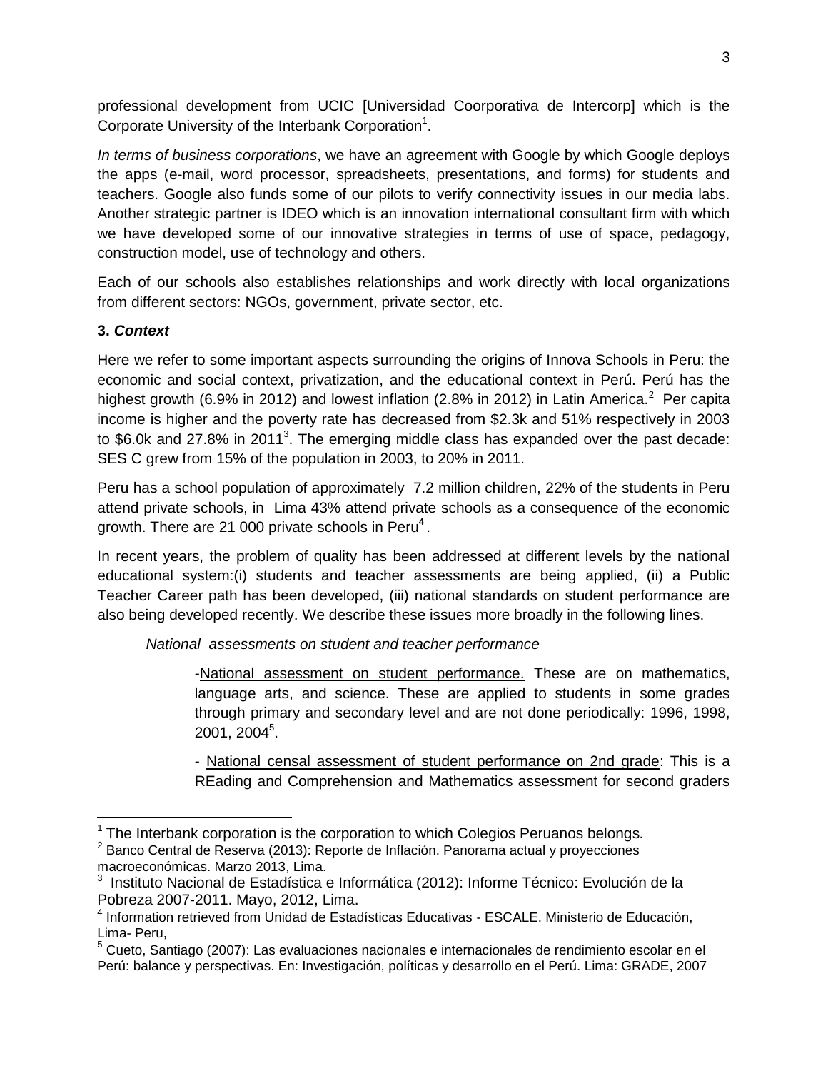professional development from UCIC [Universidad Coorporativa de Intercorp] which is the Corporate University of the Interbank Corporation<sup>1</sup>.

*In terms of business corporations*, we have an agreement with Google by which Google deploys the apps (e-mail, word processor, spreadsheets, presentations, and forms) for students and teachers. Google also funds some of our pilots to verify connectivity issues in our media labs. Another strategic partner is IDEO which is an innovation international consultant firm with which we have developed some of our innovative strategies in terms of use of space, pedagogy, construction model, use of technology and others.

Each of our schools also establishes relationships and work directly with local organizations from different sectors: NGOs, government, private sector, etc.

## **3.** *Context*

 $\overline{\phantom{a}}$ 

Here we refer to some important aspects surrounding the origins of Innova Schools in Peru: the economic and social context, privatization, and the educational context in Perú. Perú has the highest growth (6.9% in 2012) and lowest inflation (2.8% in 2012) in Latin America.<sup>2</sup> Per capita income is higher and the poverty rate has decreased from \$2.3k and 51% respectively in 2003 to \$6.0k and 27.8% in 2011<sup>3</sup>. The emerging middle class has expanded over the past decade: SES C grew from 15% of the population in 2003, to 20% in 2011.

Peru has a school population of approximately 7.2 million children, 22% of the students in Peru attend private schools, in Lima 43% attend private schools as a consequence of the economic growth. There are 21 000 private schools in Peru**<sup>4</sup>** .

In recent years, the problem of quality has been addressed at different levels by the national educational system:(i) students and teacher assessments are being applied, (ii) a Public Teacher Career path has been developed, (iii) national standards on student performance are also being developed recently. We describe these issues more broadly in the following lines.

*National assessments on student and teacher performance*

-National assessment on student performance. These are on mathematics, language arts, and science. These are applied to students in some grades through primary and secondary level and are not done periodically: 1996, 1998, 2001, 2004 $^5$ .

- National censal assessment of student performance on 2nd grade: This is a REading and Comprehension and Mathematics assessment for second graders

<sup>1</sup> The Interbank corporation is the corporation to which Colegios Peruanos belongs*.* 

 $2$  Banco Central de Reserva (2013): Reporte de Inflación. Panorama actual y proyecciones macroeconómicas. Marzo 2013, Lima.

<sup>&</sup>lt;sup>3</sup> Instituto Nacional de Estadística e Informática (2012): Informe Técnico: Evolución de la Pobreza 2007-2011. Mayo, 2012, Lima.

<sup>4</sup> Information retrieved from Unidad de Estadísticas Educativas - ESCALE. Ministerio de Educación, Lima- Peru,

<sup>5</sup> Cueto, Santiago (2007): Las evaluaciones nacionales e internacionales de rendimiento escolar en el Perú: balance y perspectivas. En: Investigación, políticas y desarrollo en el Perú. Lima: GRADE, 2007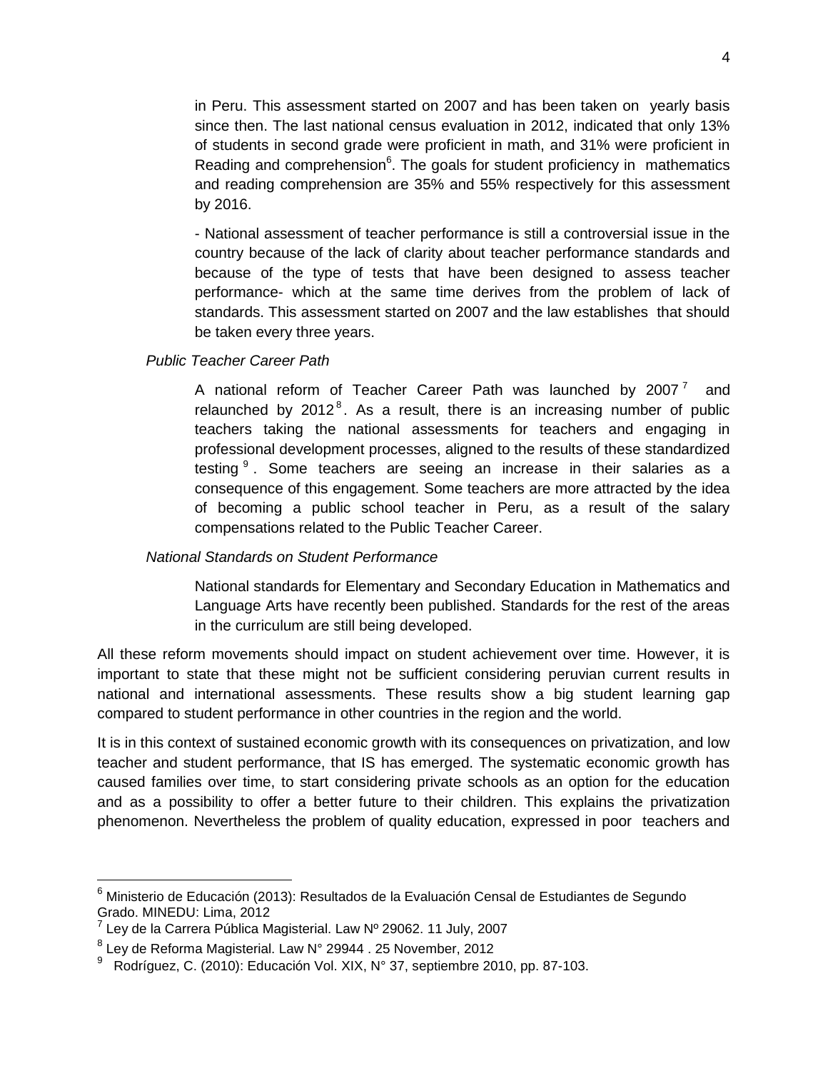in Peru. This assessment started on 2007 and has been taken on yearly basis since then. The last national census evaluation in 2012, indicated that only 13% of students in second grade were proficient in math, and 31% were proficient in Reading and comprehension $6$ . The goals for student proficiency in mathematics and reading comprehension are 35% and 55% respectively for this assessment by 2016.

- National assessment of teacher performance is still a controversial issue in the country because of the lack of clarity about teacher performance standards and because of the type of tests that have been designed to assess teacher performance- which at the same time derives from the problem of lack of standards. This assessment started on 2007 and the law establishes that should be taken every three years.

*Public Teacher Career Path*

A national reform of Teacher Career Path was launched by 2007<sup>7</sup> and relaunched by  $2012^8$ . As a result, there is an increasing number of public teachers taking the national assessments for teachers and engaging in professional development processes, aligned to the results of these standardized testing <sup>9</sup>. Some teachers are seeing an increase in their salaries as a consequence of this engagement. Some teachers are more attracted by the idea of becoming a public school teacher in Peru, as a result of the salary compensations related to the Public Teacher Career.

## *National Standards on Student Performance*

National standards for Elementary and Secondary Education in Mathematics and Language Arts have recently been published. Standards for the rest of the areas in the curriculum are still being developed.

All these reform movements should impact on student achievement over time. However, it is important to state that these might not be sufficient considering peruvian current results in national and international assessments. These results show a big student learning gap compared to student performance in other countries in the region and the world.

It is in this context of sustained economic growth with its consequences on privatization, and low teacher and student performance, that IS has emerged. The systematic economic growth has caused families over time, to start considering private schools as an option for the education and as a possibility to offer a better future to their children. This explains the privatization phenomenon. Nevertheless the problem of quality education, expressed in poor teachers and

 $\overline{a}$ 

 $6$  Ministerio de Educación (2013): Resultados de la Evaluación Censal de Estudiantes de Segundo Grado. MINEDU: Lima, 2012

<sup>&</sup>lt;sup>7</sup> Ley de la Carrera Pública Magisterial. Law № 29062. 11 July, 2007

 $^8$  Ley de Reforma Magisterial. Law N° 29944 . 25 November, 2012

 $^9$  Rodríguez, C. (2010): Educación Vol. XIX, N° 37, septiembre 2010, pp. 87-103.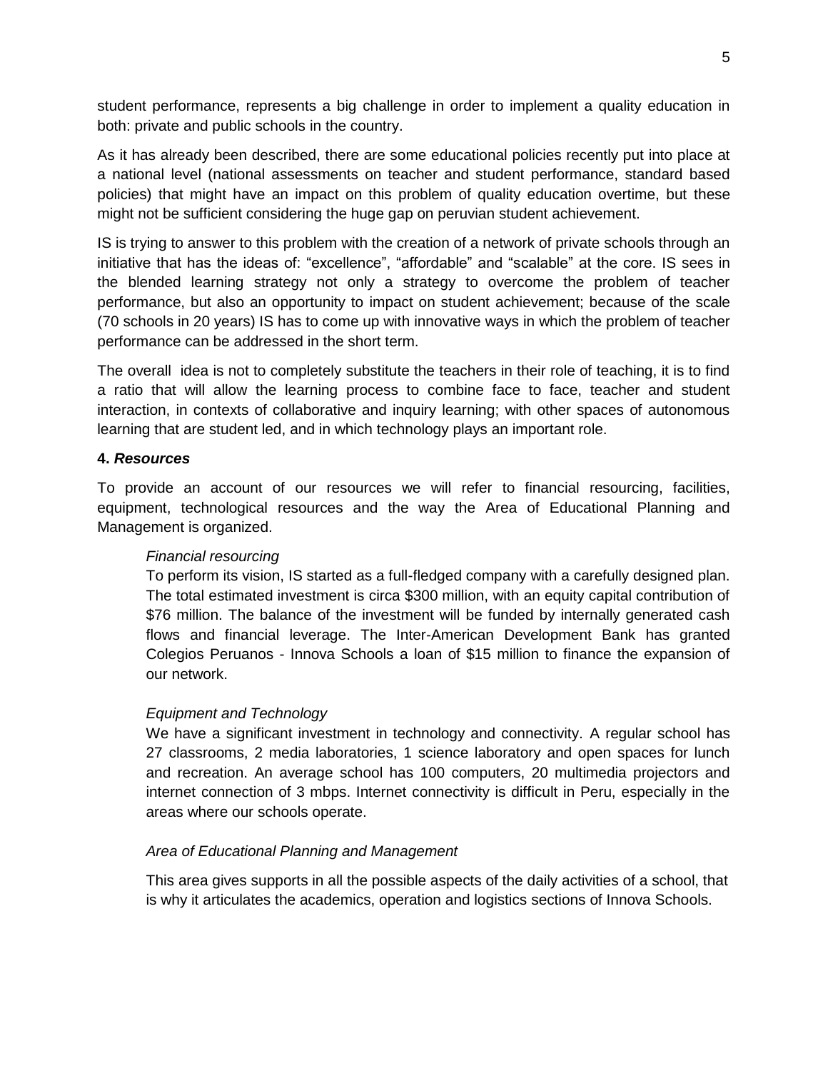student performance, represents a big challenge in order to implement a quality education in both: private and public schools in the country.

As it has already been described, there are some educational policies recently put into place at a national level (national assessments on teacher and student performance, standard based policies) that might have an impact on this problem of quality education overtime, but these might not be sufficient considering the huge gap on peruvian student achievement.

IS is trying to answer to this problem with the creation of a network of private schools through an initiative that has the ideas of: "excellence", "affordable" and "scalable" at the core. IS sees in the blended learning strategy not only a strategy to overcome the problem of teacher performance, but also an opportunity to impact on student achievement; because of the scale (70 schools in 20 years) IS has to come up with innovative ways in which the problem of teacher performance can be addressed in the short term.

The overall idea is not to completely substitute the teachers in their role of teaching, it is to find a ratio that will allow the learning process to combine face to face, teacher and student interaction, in contexts of collaborative and inquiry learning; with other spaces of autonomous learning that are student led, and in which technology plays an important role.

#### **4.** *Resources*

To provide an account of our resources we will refer to financial resourcing, facilities, equipment, technological resources and the way the Area of Educational Planning and Management is organized.

#### *Financial resourcing*

To perform its vision, IS started as a full-fledged company with a carefully designed plan. The total estimated investment is circa \$300 million, with an equity capital contribution of \$76 million. The balance of the investment will be funded by internally generated cash flows and financial leverage. The Inter-American Development Bank has granted Colegios Peruanos - Innova Schools a loan of \$15 million to finance the expansion of our network.

#### *Equipment and Technology*

We have a significant investment in technology and connectivity. A regular school has 27 classrooms, 2 media laboratories, 1 science laboratory and open spaces for lunch and recreation. An average school has 100 computers, 20 multimedia projectors and internet connection of 3 mbps. Internet connectivity is difficult in Peru, especially in the areas where our schools operate.

#### *Area of Educational Planning and Management*

This area gives supports in all the possible aspects of the daily activities of a school, that is why it articulates the academics, operation and logistics sections of Innova Schools.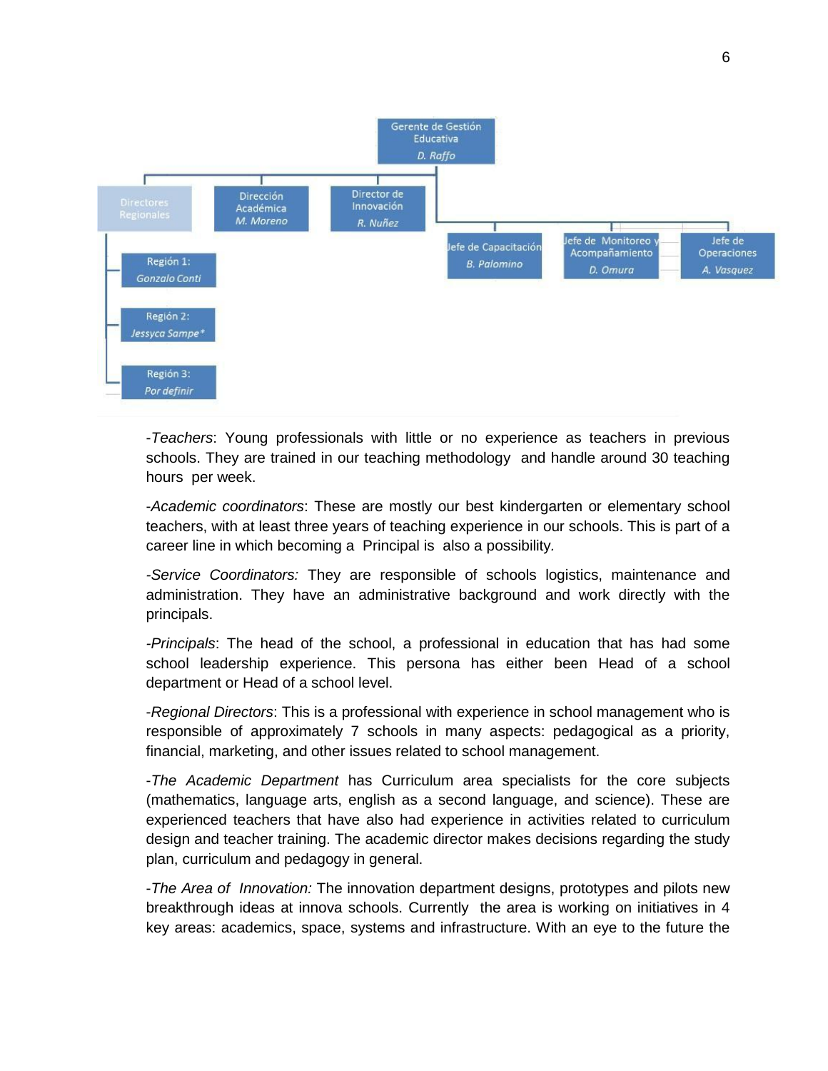![](_page_5_Figure_0.jpeg)

-*Teachers*: Young professionals with little or no experience as teachers in previous schools. They are trained in our teaching methodology and handle around 30 teaching hours per week.

-*Academic coordinators*: These are mostly our best kindergarten or elementary school teachers, with at least three years of teaching experience in our schools. This is part of a career line in which becoming a Principal is also a possibility*.*

*-Service Coordinators:* They are responsible of schools logistics, maintenance and administration. They have an administrative background and work directly with the principals.

*-Principals*: The head of the school, a professional in education that has had some school leadership experience. This persona has either been Head of a school department or Head of a school level.

-*Regional Directors*: This is a professional with experience in school management who is responsible of approximately 7 schools in many aspects: pedagogical as a priority, financial, marketing, and other issues related to school management.

-*The Academic Department* has Curriculum area specialists for the core subjects (mathematics, language arts, english as a second language, and science). These are experienced teachers that have also had experience in activities related to curriculum design and teacher training. The academic director makes decisions regarding the study plan, curriculum and pedagogy in general.

-*The Area of Innovation:* The innovation department designs, prototypes and pilots new breakthrough ideas at innova schools. Currently the area is working on initiatives in 4 key areas: academics, space, systems and infrastructure. With an eye to the future the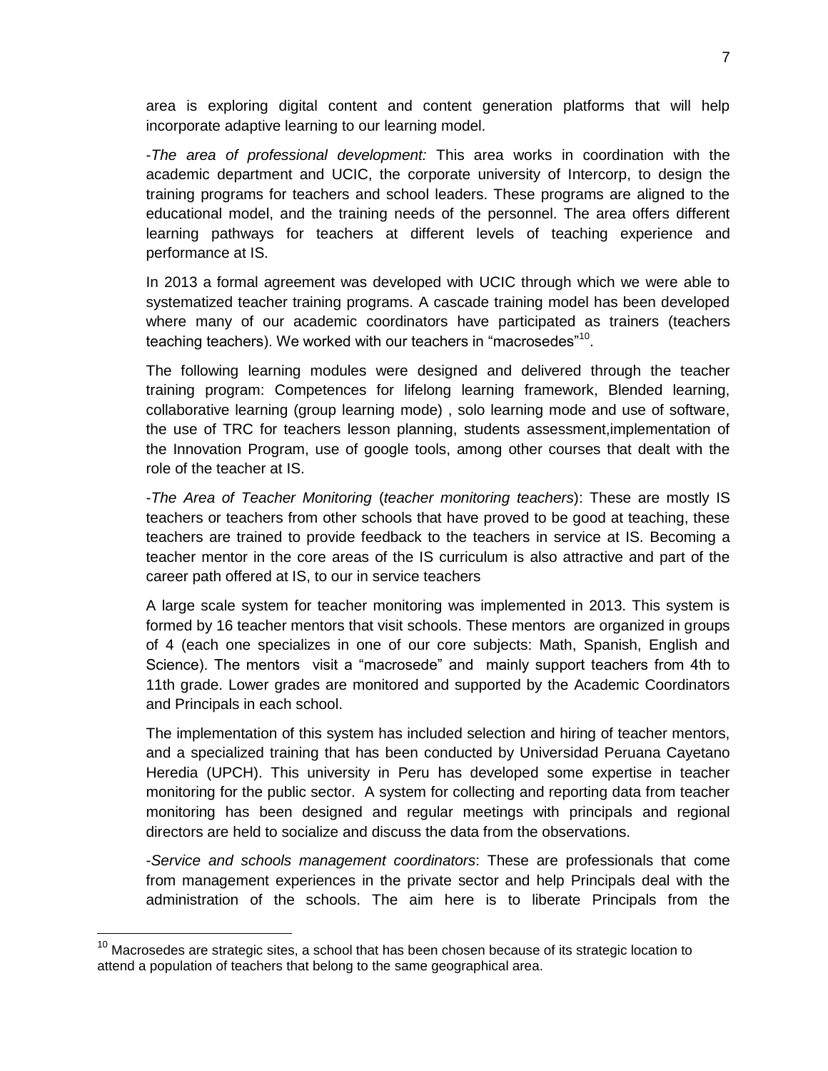area is exploring digital content and content generation platforms that will help incorporate adaptive learning to our learning model.

-*The area of professional development:* This area works in coordination with the academic department and UCIC, the corporate university of Intercorp, to design the training programs for teachers and school leaders. These programs are aligned to the educational model, and the training needs of the personnel. The area offers different learning pathways for teachers at different levels of teaching experience and performance at IS.

In 2013 a formal agreement was developed with UCIC through which we were able to systematized teacher training programs. A cascade training model has been developed where many of our academic coordinators have participated as trainers (teachers teaching teachers). We worked with our teachers in "macrosedes"<sup>10</sup>.

The following learning modules were designed and delivered through the teacher training program: Competences for lifelong learning framework, Blended learning, collaborative learning (group learning mode) , solo learning mode and use of software, the use of TRC for teachers lesson planning, students assessment,implementation of the Innovation Program, use of google tools, among other courses that dealt with the role of the teacher at IS.

-*The Area of Teacher Monitoring* (*teacher monitoring teachers*): These are mostly IS teachers or teachers from other schools that have proved to be good at teaching, these teachers are trained to provide feedback to the teachers in service at IS. Becoming a teacher mentor in the core areas of the IS curriculum is also attractive and part of the career path offered at IS, to our in service teachers

A large scale system for teacher monitoring was implemented in 2013. This system is formed by 16 teacher mentors that visit schools. These mentors are organized in groups of 4 (each one specializes in one of our core subjects: Math, Spanish, English and Science). The mentors visit a "macrosede" and mainly support teachers from 4th to 11th grade. Lower grades are monitored and supported by the Academic Coordinators and Principals in each school.

The implementation of this system has included selection and hiring of teacher mentors, and a specialized training that has been conducted by Universidad Peruana Cayetano Heredia (UPCH). This university in Peru has developed some expertise in teacher monitoring for the public sector. A system for collecting and reporting data from teacher monitoring has been designed and regular meetings with principals and regional directors are held to socialize and discuss the data from the observations.

-*Service and schools management coordinators*: These are professionals that come from management experiences in the private sector and help Principals deal with the administration of the schools. The aim here is to liberate Principals from the

 $\overline{\phantom{a}}$ 

 $10$  Macrosedes are strategic sites, a school that has been chosen because of its strategic location to attend a population of teachers that belong to the same geographical area.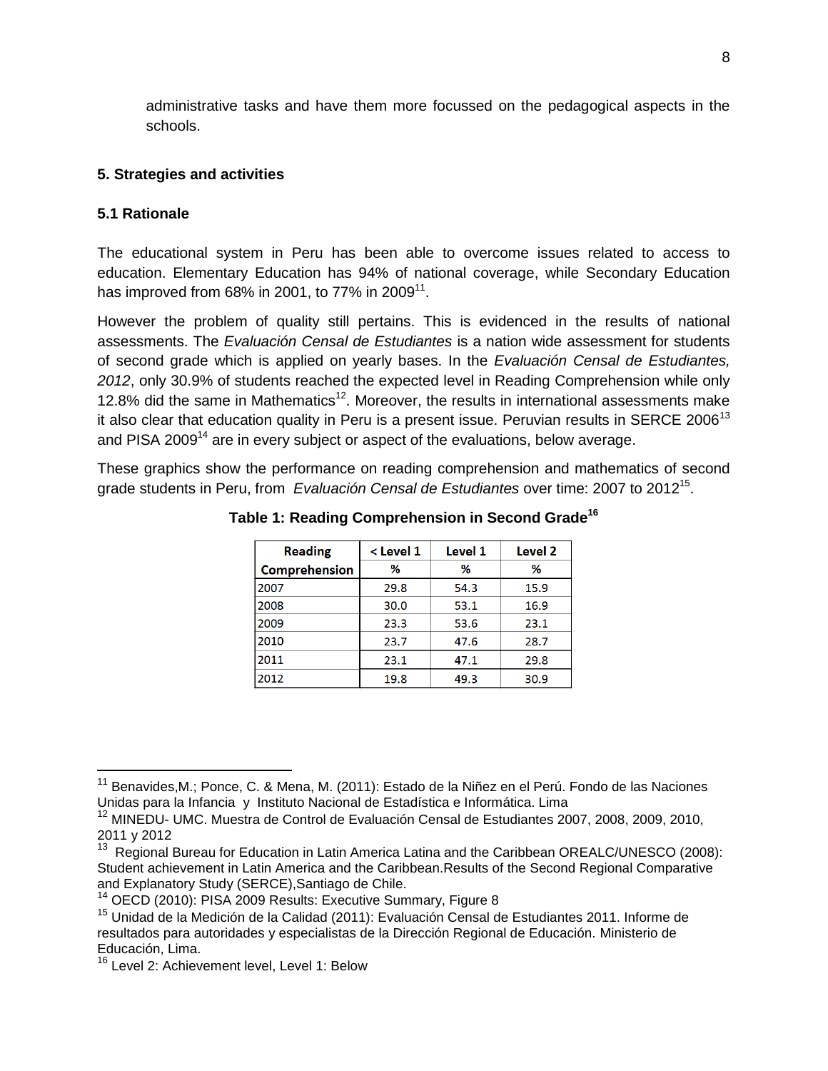administrative tasks and have them more focussed on the pedagogical aspects in the schools.

## **5. Strategies and activities**

## **5.1 Rationale**

 $\overline{\phantom{a}}$ 

The educational system in Peru has been able to overcome issues related to access to education. Elementary Education has 94% of national coverage, while Secondary Education has improved from 68% in 2001, to 77% in 2009 $^{11}$ .

However the problem of quality still pertains. This is evidenced in the results of national assessments. The *Evaluación Censal de Estudiantes* is a nation wide assessment for students of second grade which is applied on yearly bases. In the *Evaluación Censal de Estudiantes, 2012*, only 30.9% of students reached the expected level in Reading Comprehension while only 12.8% did the same in Mathematics<sup>12</sup>. Moreover, the results in international assessments make it also clear that education quality in Peru is a present issue. Peruvian results in SERCE 2006<sup>13</sup> and PISA 2009<sup>14</sup> are in every subject or aspect of the evaluations, below average.

These graphics show the performance on reading comprehension and mathematics of second grade students in Peru, from *Evaluación Censal de Estudiantes* over time: 2007 to 2012<sup>15</sup> .

| <b>Reading</b>       | $<$ Level 1 | Level 1 | Level <sub>2</sub> |
|----------------------|-------------|---------|--------------------|
| <b>Comprehension</b> | %           | %       | %                  |
| 2007                 | 29.8        | 54.3    | 15.9               |
| 2008                 | 30.0        | 53.1    | 16.9               |
| 2009                 | 23.3        | 53.6    | 23.1               |
| 2010                 | 23.7        | 47.6    | 28.7               |
| 2011                 | 23.1        | 47.1    | 29.8               |
| 2012                 | 19.8        | 49.3    | 30.9               |

**Table 1: Reading Comprehension in Second Grade<sup>16</sup>**

<sup>&</sup>lt;sup>11</sup> Benavides,M.; Ponce, C. & Mena, M. (2011): Estado de la Niñez en el Perú. Fondo de las Naciones Unidas para la Infancia y Instituto Nacional de Estadística e Informática. Lima

<sup>&</sup>lt;sup>12</sup> MINEDU- UMC. Muestra de Control de Evaluación Censal de Estudiantes 2007, 2008, 2009, 2010, 2011 y 2012

<sup>&</sup>lt;sup>13</sup> Regional Bureau for Education in Latin America Latina and the Caribbean OREALC/UNESCO (2008): Student achievement in Latin America and the Caribbean.Results of the Second Regional Comparative and Explanatory Study (SERCE),Santiago de Chile.

<sup>&</sup>lt;sup>14</sup> OECD (2010): PISA 2009 Results: Executive Summary, Figure 8

<sup>&</sup>lt;sup>15</sup> Unidad de la Medición de la Calidad (2011): Evaluación Censal de Estudiantes 2011. Informe de resultados para autoridades y especialistas de la Dirección Regional de Educación. Ministerio de Educación, Lima.

<sup>&</sup>lt;sup>16</sup> Level 2: Achievement level, Level 1: Below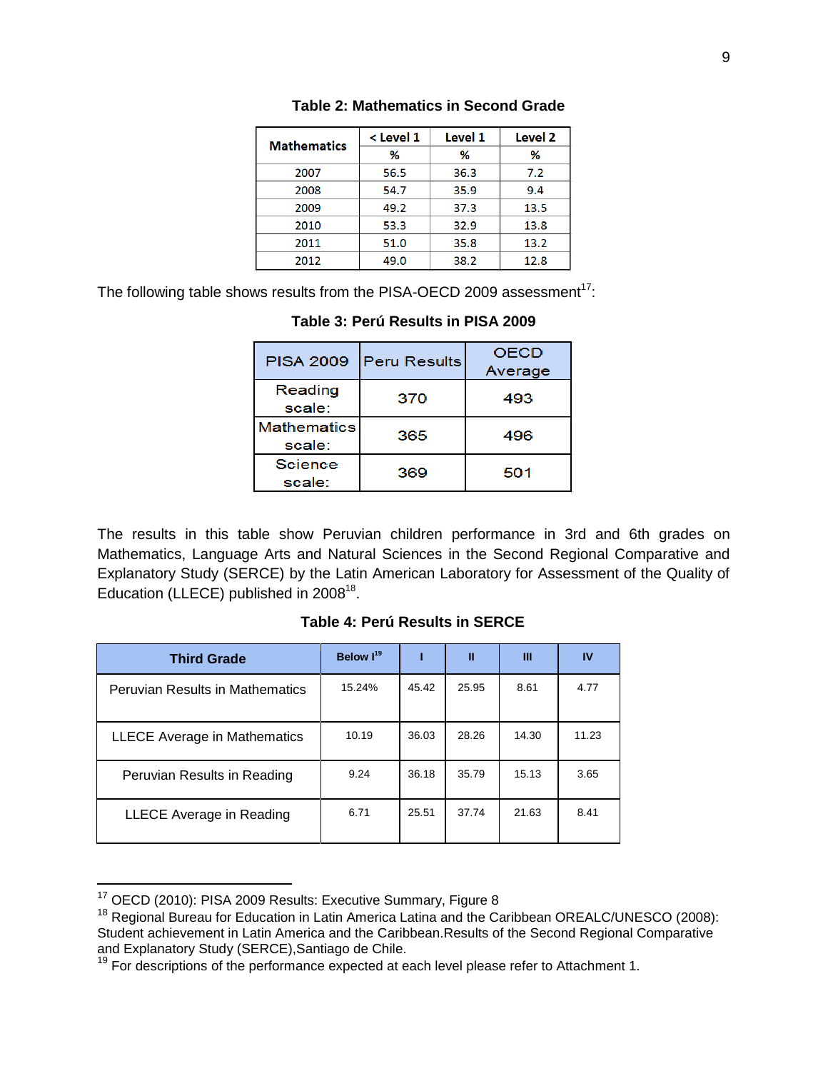| <b>Mathematics</b> | < Level 1 | Level 1 | Level <sub>2</sub> |
|--------------------|-----------|---------|--------------------|
|                    | %         | ℅       | %                  |
| 2007               | 56.5      | 36.3    | 7.2                |
| 2008               | 54.7      | 35.9    | 9.4                |
| 2009               | 49.2      | 37.3    | 13.5               |
| 2010               | 53.3      | 32.9    | 13.8               |
| 2011               | 51.0      | 35.8    | 13.2               |
| 2012               | 49.0      | 38.2    | 12.8               |

The following table shows results from the PISA-OECD 2009 assessment $17$ :

| <b>PISA 2009</b>             | <b>Peru Results</b> | <b>OECD</b><br>Average |
|------------------------------|---------------------|------------------------|
| Reading<br>scale:            | 370                 | 493                    |
| <b>Mathematics</b><br>scale: | 365                 | 496                    |
| Science<br>scale:            | 369                 | 501                    |

## **Table 3: Perú Results in PISA 2009**

The results in this table show Peruvian children performance in 3rd and 6th grades on Mathematics, Language Arts and Natural Sciences in the Second Regional Comparative and Explanatory Study (SERCE) by the Latin American Laboratory for Assessment of the Quality of Education (LLECE) published in  $2008^{18}$ .

| <b>Third Grade</b>                     | Below I <sup>19</sup> |       | Ш     | Ш     | <b>IV</b> |
|----------------------------------------|-----------------------|-------|-------|-------|-----------|
| <b>Peruvian Results in Mathematics</b> | 15.24%                | 45.42 | 25.95 | 8.61  | 4.77      |
| <b>LLECE Average in Mathematics</b>    | 10.19                 | 36.03 | 28.26 | 14.30 | 11.23     |
| Peruvian Results in Reading            | 9.24                  | 36.18 | 35.79 | 15.13 | 3.65      |
| LLECE Average in Reading               | 6.71                  | 25.51 | 37.74 | 21.63 | 8.41      |

#### **Table 4: Perú Results in SERCE**

 $\overline{\phantom{a}}$ 

 $17$  OECD (2010): PISA 2009 Results: Executive Summary, Figure 8

<sup>&</sup>lt;sup>18</sup> Regional Bureau for Education in Latin America Latina and the Caribbean OREALC/UNESCO (2008): Student achievement in Latin America and the Caribbean.Results of the Second Regional Comparative and Explanatory Study (SERCE),Santiago de Chile.

<sup>19</sup> For descriptions of the performance expected at each level please refer to Attachment 1.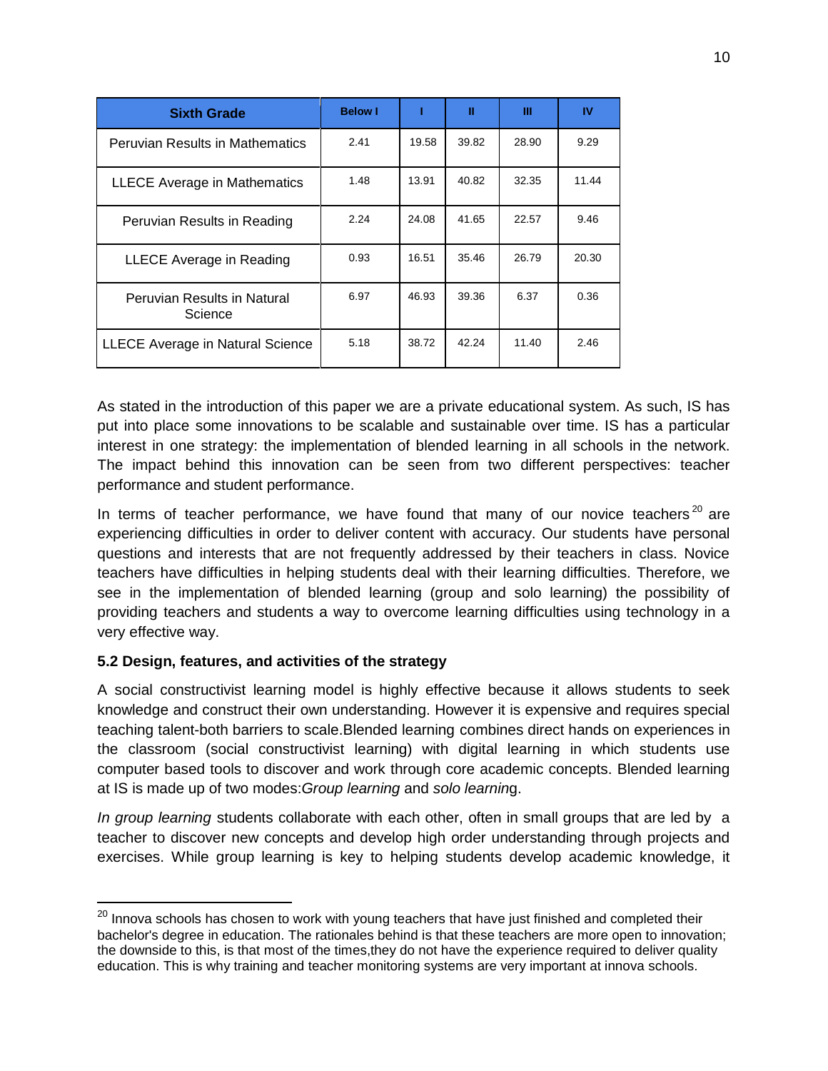| <b>Sixth Grade</b>                      | <b>Below I</b> |       | П     | Ш     | IV    |
|-----------------------------------------|----------------|-------|-------|-------|-------|
| <b>Peruvian Results in Mathematics</b>  | 2.41           | 19.58 | 39.82 | 28.90 | 9.29  |
| <b>LLECE Average in Mathematics</b>     | 1.48           | 13.91 | 40.82 | 32.35 | 11.44 |
| Peruvian Results in Reading             | 2.24           | 24.08 | 41.65 | 22.57 | 9.46  |
| LLECE Average in Reading                | 0.93           | 16.51 | 35.46 | 26.79 | 20.30 |
| Peruvian Results in Natural<br>Science  | 6.97           | 46.93 | 39.36 | 6.37  | 0.36  |
| <b>LLECE Average in Natural Science</b> | 5.18           | 38.72 | 42.24 | 11.40 | 2.46  |

As stated in the introduction of this paper we are a private educational system. As such, IS has put into place some innovations to be scalable and sustainable over time. IS has a particular interest in one strategy: the implementation of blended learning in all schools in the network. The impact behind this innovation can be seen from two different perspectives: teacher performance and student performance.

In terms of teacher performance, we have found that many of our novice teachers<sup>20</sup> are experiencing difficulties in order to deliver content with accuracy. Our students have personal questions and interests that are not frequently addressed by their teachers in class. Novice teachers have difficulties in helping students deal with their learning difficulties. Therefore, we see in the implementation of blended learning (group and solo learning) the possibility of providing teachers and students a way to overcome learning difficulties using technology in a very effective way.

# **5.2 Design, features, and activities of the strategy**

 $\overline{\phantom{a}}$ 

A social constructivist learning model is highly effective because it allows students to seek knowledge and construct their own understanding. However it is expensive and requires special teaching talent-both barriers to scale.Blended learning combines direct hands on experiences in the classroom (social constructivist learning) with digital learning in which students use computer based tools to discover and work through core academic concepts. Blended learning at IS is made up of two modes:*Group learning* and *solo learnin*g.

*In group learning* students collaborate with each other, often in small groups that are led by a teacher to discover new concepts and develop high order understanding through projects and exercises. While group learning is key to helping students develop academic knowledge, it

 $^{20}$  Innova schools has chosen to work with young teachers that have just finished and completed their bachelor's degree in education. The rationales behind is that these teachers are more open to innovation; the downside to this, is that most of the times,they do not have the experience required to deliver quality education. This is why training and teacher monitoring systems are very important at innova schools.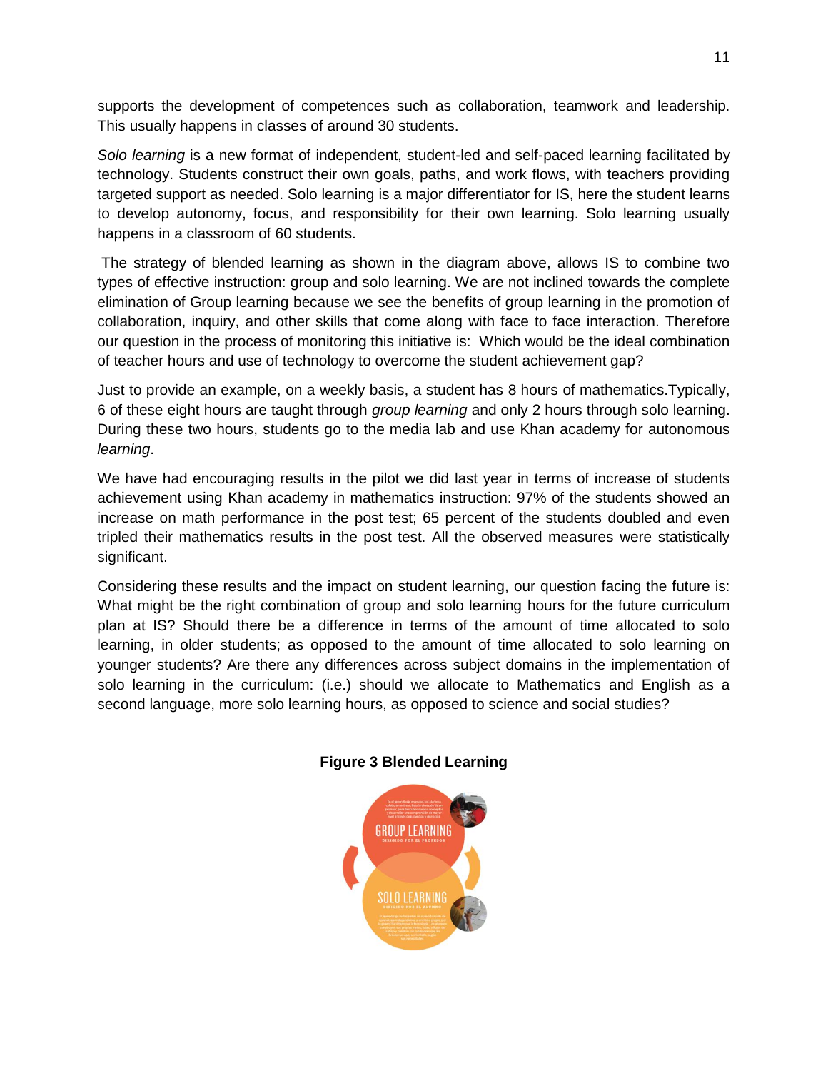supports the development of competences such as collaboration, teamwork and leadership. This usually happens in classes of around 30 students.

*Solo learning* is a new format of independent, student-led and self-paced learning facilitated by technology. Students construct their own goals, paths, and work flows, with teachers providing targeted support as needed. Solo learning is a major differentiator for IS, here the student learns to develop autonomy, focus, and responsibility for their own learning. Solo learning usually happens in a classroom of 60 students.

The strategy of blended learning as shown in the diagram above, allows IS to combine two types of effective instruction: group and solo learning. We are not inclined towards the complete elimination of Group learning because we see the benefits of group learning in the promotion of collaboration, inquiry, and other skills that come along with face to face interaction. Therefore our question in the process of monitoring this initiative is: Which would be the ideal combination of teacher hours and use of technology to overcome the student achievement gap?

Just to provide an example, on a weekly basis, a student has 8 hours of mathematics.Typically, 6 of these eight hours are taught through *group learning* and only 2 hours through solo learning. During these two hours, students go to the media lab and use Khan academy for autonomous *learning*.

We have had encouraging results in the pilot we did last year in terms of increase of students achievement using Khan academy in mathematics instruction: 97% of the students showed an increase on math performance in the post test; 65 percent of the students doubled and even tripled their mathematics results in the post test. All the observed measures were statistically significant.

Considering these results and the impact on student learning, our question facing the future is: What might be the right combination of group and solo learning hours for the future curriculum plan at IS? Should there be a difference in terms of the amount of time allocated to solo learning, in older students; as opposed to the amount of time allocated to solo learning on younger students? Are there any differences across subject domains in the implementation of solo learning in the curriculum: (i.e.) should we allocate to Mathematics and English as a second language, more solo learning hours, as opposed to science and social studies?

![](_page_10_Figure_6.jpeg)

## **Figure 3 Blended Learning**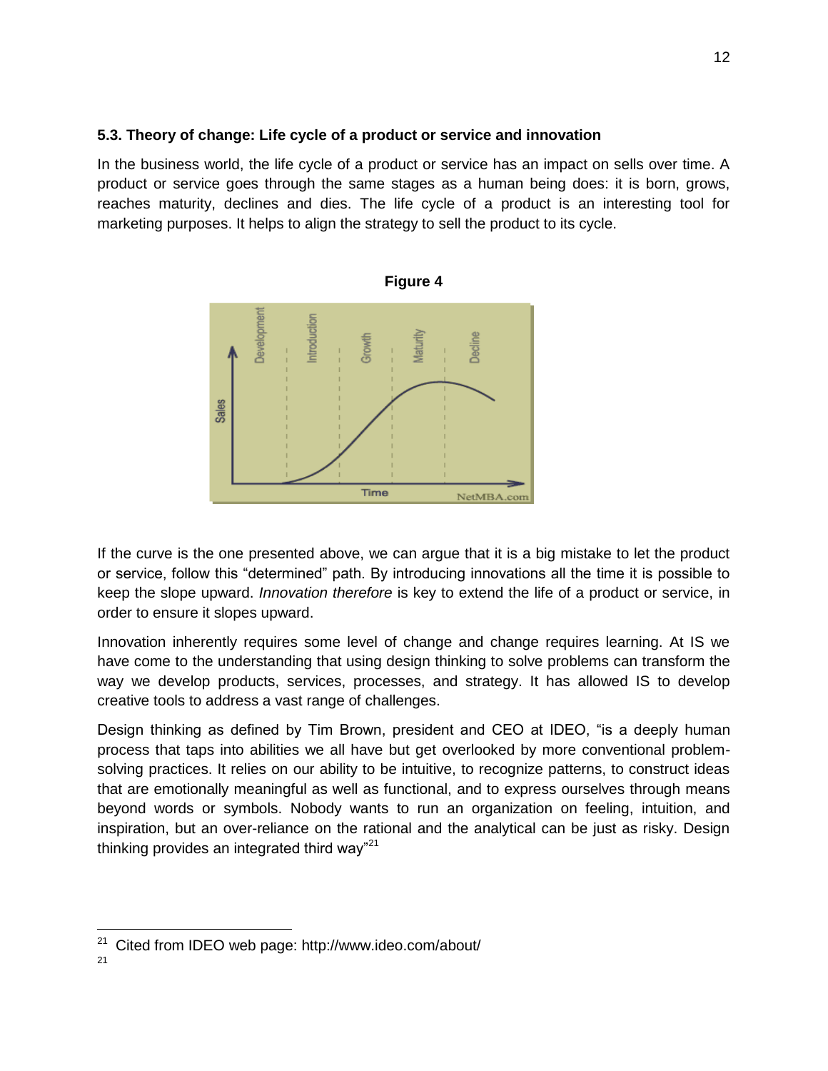## **5.3. Theory of change: Life cycle of a product or service and innovation**

In the business world, the life cycle of a product or service has an impact on sells over time. A product or service goes through the same stages as a human being does: it is born, grows, reaches maturity, declines and dies. The life cycle of a product is an interesting tool for marketing purposes. It helps to align the strategy to sell the product to its cycle.

![](_page_11_Figure_2.jpeg)

If the curve is the one presented above, we can argue that it is a big mistake to let the product or service, follow this "determined" path. By introducing innovations all the time it is possible to keep the slope upward. *Innovation therefore* is key to extend the life of a product or service, in order to ensure it slopes upward.

Innovation inherently requires some level of change and change requires learning. At IS we have come to the understanding that using design thinking to solve problems can transform the way we develop products, services, processes, and strategy. It has allowed IS to develop creative tools to address a vast range of challenges.

Design thinking as defined by Tim Brown, president and CEO at IDEO, "is a deeply human process that taps into abilities we all have but get overlooked by more conventional problemsolving practices. It relies on our ability to be intuitive, to recognize patterns, to construct ideas that are emotionally meaningful as well as functional, and to express ourselves through means beyond words or symbols. Nobody wants to run an organization on feeling, intuition, and inspiration, but an over-reliance on the rational and the analytical can be just as risky. Design thinking provides an integrated third way"<sup>21</sup>

 $\overline{\phantom{a}}$ <sup>21</sup> Cited from IDEO web page: http://www.ideo.com/about/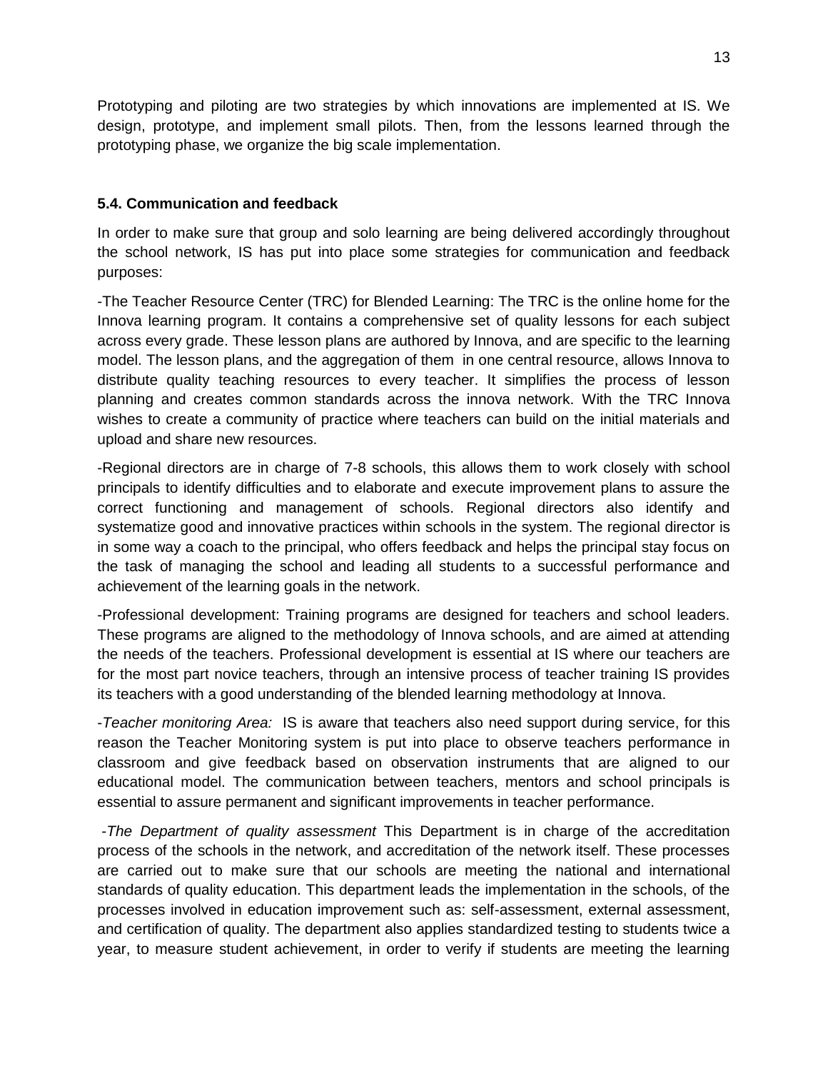Prototyping and piloting are two strategies by which innovations are implemented at IS. We design, prototype, and implement small pilots. Then, from the lessons learned through the prototyping phase, we organize the big scale implementation.

## **5.4. Communication and feedback**

In order to make sure that group and solo learning are being delivered accordingly throughout the school network, IS has put into place some strategies for communication and feedback purposes:

-The Teacher Resource Center (TRC) for Blended Learning: The TRC is the online home for the Innova learning program. It contains a comprehensive set of quality lessons for each subject across every grade. These lesson plans are authored by Innova, and are specific to the learning model. The lesson plans, and the aggregation of them in one central resource, allows Innova to distribute quality teaching resources to every teacher. It simplifies the process of lesson planning and creates common standards across the innova network. With the TRC Innova wishes to create a community of practice where teachers can build on the initial materials and upload and share new resources.

-Regional directors are in charge of 7-8 schools, this allows them to work closely with school principals to identify difficulties and to elaborate and execute improvement plans to assure the correct functioning and management of schools. Regional directors also identify and systematize good and innovative practices within schools in the system. The regional director is in some way a coach to the principal, who offers feedback and helps the principal stay focus on the task of managing the school and leading all students to a successful performance and achievement of the learning goals in the network.

-Professional development: Training programs are designed for teachers and school leaders. These programs are aligned to the methodology of Innova schools, and are aimed at attending the needs of the teachers. Professional development is essential at IS where our teachers are for the most part novice teachers, through an intensive process of teacher training IS provides its teachers with a good understanding of the blended learning methodology at Innova.

-*Teacher monitoring Area:* IS is aware that teachers also need support during service, for this reason the Teacher Monitoring system is put into place to observe teachers performance in classroom and give feedback based on observation instruments that are aligned to our educational model. The communication between teachers, mentors and school principals is essential to assure permanent and significant improvements in teacher performance.

-*The Department of quality assessment* This Department is in charge of the accreditation process of the schools in the network, and accreditation of the network itself. These processes are carried out to make sure that our schools are meeting the national and international standards of quality education. This department leads the implementation in the schools, of the processes involved in education improvement such as: self-assessment, external assessment, and certification of quality. The department also applies standardized testing to students twice a year, to measure student achievement, in order to verify if students are meeting the learning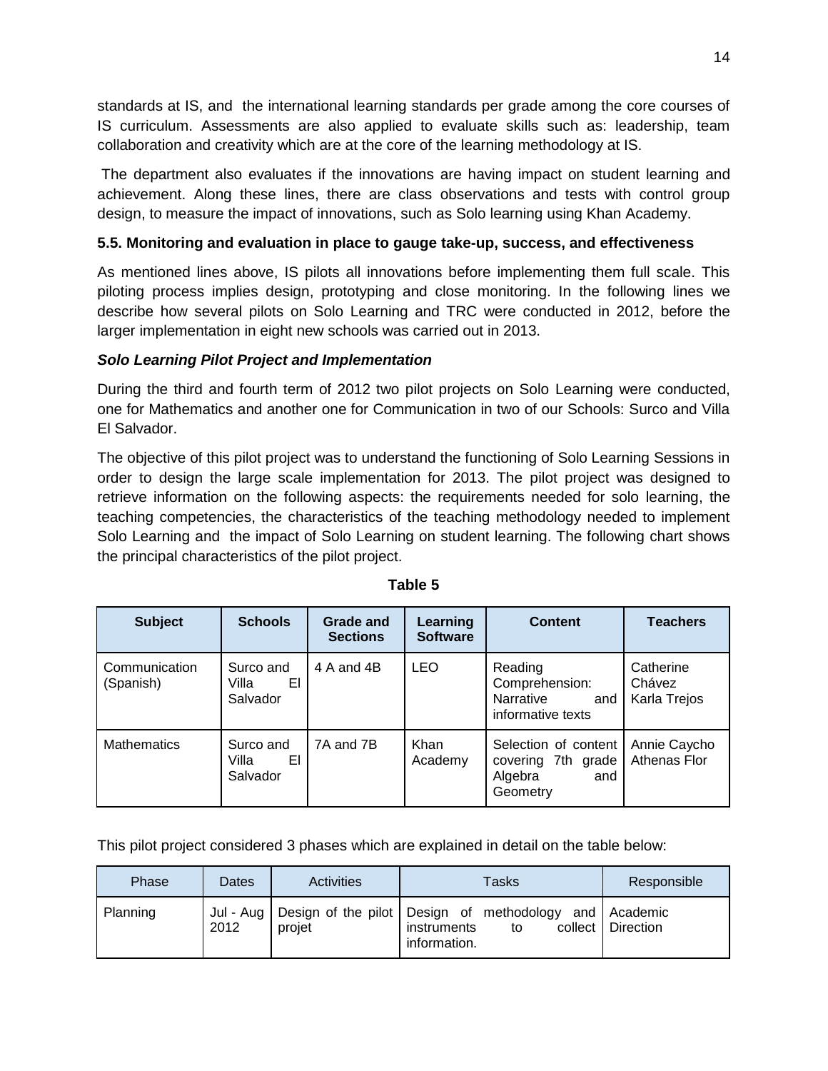standards at IS, and the international learning standards per grade among the core courses of IS curriculum. Assessments are also applied to evaluate skills such as: leadership, team collaboration and creativity which are at the core of the learning methodology at IS.

The department also evaluates if the innovations are having impact on student learning and achievement. Along these lines, there are class observations and tests with control group design, to measure the impact of innovations, such as Solo learning using Khan Academy.

# **5.5. Monitoring and evaluation in place to gauge take-up, success, and effectiveness**

As mentioned lines above, IS pilots all innovations before implementing them full scale. This piloting process implies design, prototyping and close monitoring. In the following lines we describe how several pilots on Solo Learning and TRC were conducted in 2012, before the larger implementation in eight new schools was carried out in 2013.

## *Solo Learning Pilot Project and Implementation*

During the third and fourth term of 2012 two pilot projects on Solo Learning were conducted, one for Mathematics and another one for Communication in two of our Schools: Surco and Villa El Salvador.

The objective of this pilot project was to understand the functioning of Solo Learning Sessions in order to design the large scale implementation for 2013. The pilot project was designed to retrieve information on the following aspects: the requirements needed for solo learning, the teaching competencies, the characteristics of the teaching methodology needed to implement Solo Learning and the impact of Solo Learning on student learning. The following chart shows the principal characteristics of the pilot project.

| <b>Subject</b>             | <b>Schools</b>                       | Grade and<br><b>Sections</b> | Learning<br><b>Software</b> | <b>Content</b>                                                              | <b>Teachers</b>                     |
|----------------------------|--------------------------------------|------------------------------|-----------------------------|-----------------------------------------------------------------------------|-------------------------------------|
| Communication<br>(Spanish) | Surco and<br>EI<br>Villa<br>Salvador | 4 A and 4B                   | <b>LEO</b>                  | Reading<br>Comprehension:<br>Narrative<br>and<br>informative texts          | Catherine<br>Chávez<br>Karla Trejos |
| <b>Mathematics</b>         | Surco and<br>EI<br>Villa<br>Salvador | 7A and 7B                    | Khan<br>Academy             | Selection of content<br>7th grade<br>covering<br>Algebra<br>and<br>Geometry | Annie Caycho<br>Athenas Flor        |

**Table 5**

This pilot project considered 3 phases which are explained in detail on the table below:

| Phase    | Dates | <b>Activities</b> | Tasks                                                                                                       | Responsible         |
|----------|-------|-------------------|-------------------------------------------------------------------------------------------------------------|---------------------|
| Planning | 2012  | projet            | Jul - Aug   Design of the pilot   Design of methodology and   Academic<br>instruments<br>to<br>information. | collect   Direction |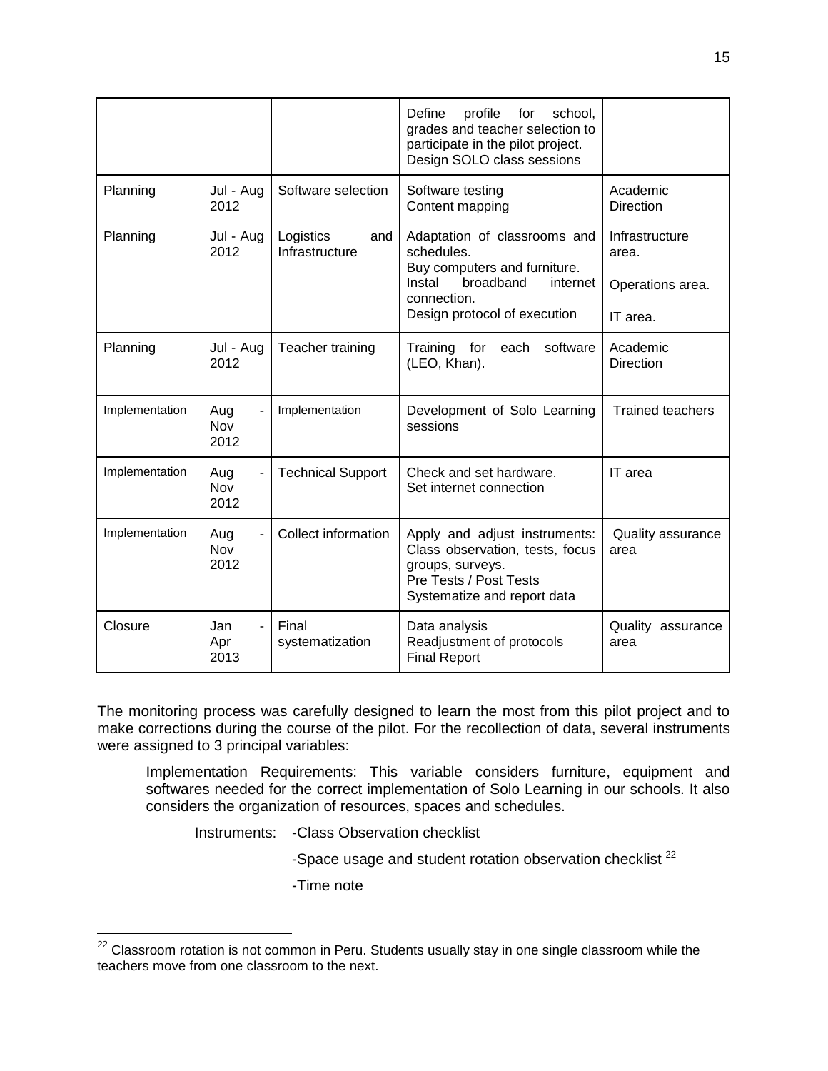|                |                    |                                    | Define<br>profile<br>school.<br>for<br>grades and teacher selection to<br>participate in the pilot project.<br>Design SOLO class sessions                    |                                                         |
|----------------|--------------------|------------------------------------|--------------------------------------------------------------------------------------------------------------------------------------------------------------|---------------------------------------------------------|
| Planning       | Jul - Aug<br>2012  | Software selection                 | Software testing<br>Content mapping                                                                                                                          | Academic<br><b>Direction</b>                            |
| Planning       | Jul - Aug<br>2012  | Logistics<br>and<br>Infrastructure | Adaptation of classrooms and<br>schedules.<br>Buy computers and furniture.<br>broadband<br>Instal<br>internet<br>connection.<br>Design protocol of execution | Infrastructure<br>area.<br>Operations area.<br>IT area. |
| Planning       | Jul - Aug<br>2012  | Teacher training                   | software<br>Training for<br>each<br>(LEO, Khan).                                                                                                             | Academic<br><b>Direction</b>                            |
| Implementation | Aug<br>Nov<br>2012 | Implementation                     | Development of Solo Learning<br>sessions                                                                                                                     | <b>Trained teachers</b>                                 |
| Implementation | Aug<br>Nov<br>2012 | <b>Technical Support</b>           | Check and set hardware.<br>Set internet connection                                                                                                           | IT area                                                 |
| Implementation | Aug<br>Nov<br>2012 | Collect information                | Apply and adjust instruments:<br>Class observation, tests, focus<br>groups, surveys.<br>Pre Tests / Post Tests<br>Systematize and report data                | Quality assurance<br>area                               |
| Closure        | Jan<br>Apr<br>2013 | Final<br>systematization           | Data analysis<br>Readjustment of protocols<br><b>Final Report</b>                                                                                            | Quality<br>assurance<br>area                            |

The monitoring process was carefully designed to learn the most from this pilot project and to make corrections during the course of the pilot. For the recollection of data, several instruments were assigned to 3 principal variables:

Implementation Requirements: This variable considers furniture, equipment and softwares needed for the correct implementation of Solo Learning in our schools. It also considers the organization of resources, spaces and schedules.

Instruments: -Class Observation checklist

-Space usage and student rotation observation checklist  $^{22}$ 

-Time note

 $\overline{\phantom{a}}$ 

 $^{22}$  Classroom rotation is not common in Peru. Students usually stay in one single classroom while the teachers move from one classroom to the next.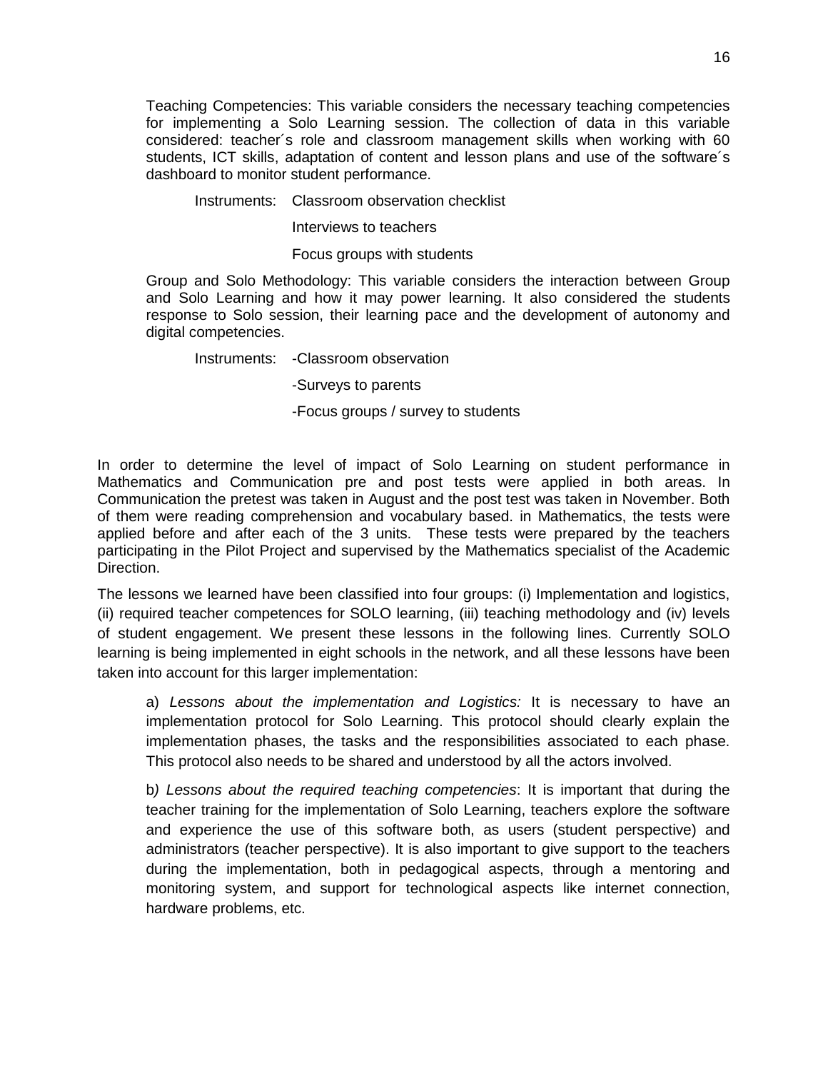Teaching Competencies: This variable considers the necessary teaching competencies for implementing a Solo Learning session. The collection of data in this variable considered: teacher´s role and classroom management skills when working with 60 students, ICT skills, adaptation of content and lesson plans and use of the software´s dashboard to monitor student performance.

#### Instruments: Classroom observation checklist

Interviews to teachers

Focus groups with students

Group and Solo Methodology: This variable considers the interaction between Group and Solo Learning and how it may power learning. It also considered the students response to Solo session, their learning pace and the development of autonomy and digital competencies.

Instruments: -Classroom observation

-Surveys to parents

-Focus groups / survey to students

In order to determine the level of impact of Solo Learning on student performance in Mathematics and Communication pre and post tests were applied in both areas. In Communication the pretest was taken in August and the post test was taken in November. Both of them were reading comprehension and vocabulary based. in Mathematics, the tests were applied before and after each of the 3 units. These tests were prepared by the teachers participating in the Pilot Project and supervised by the Mathematics specialist of the Academic Direction.

The lessons we learned have been classified into four groups: (i) Implementation and logistics, (ii) required teacher competences for SOLO learning, (iii) teaching methodology and (iv) levels of student engagement. We present these lessons in the following lines. Currently SOLO learning is being implemented in eight schools in the network, and all these lessons have been taken into account for this larger implementation:

a) *Lessons about the implementation and Logistics:* It is necessary to have an implementation protocol for Solo Learning. This protocol should clearly explain the implementation phases, the tasks and the responsibilities associated to each phase. This protocol also needs to be shared and understood by all the actors involved.

b*) Lessons about the required teaching competencies*: It is important that during the teacher training for the implementation of Solo Learning, teachers explore the software and experience the use of this software both, as users (student perspective) and administrators (teacher perspective). It is also important to give support to the teachers during the implementation, both in pedagogical aspects, through a mentoring and monitoring system, and support for technological aspects like internet connection, hardware problems, etc.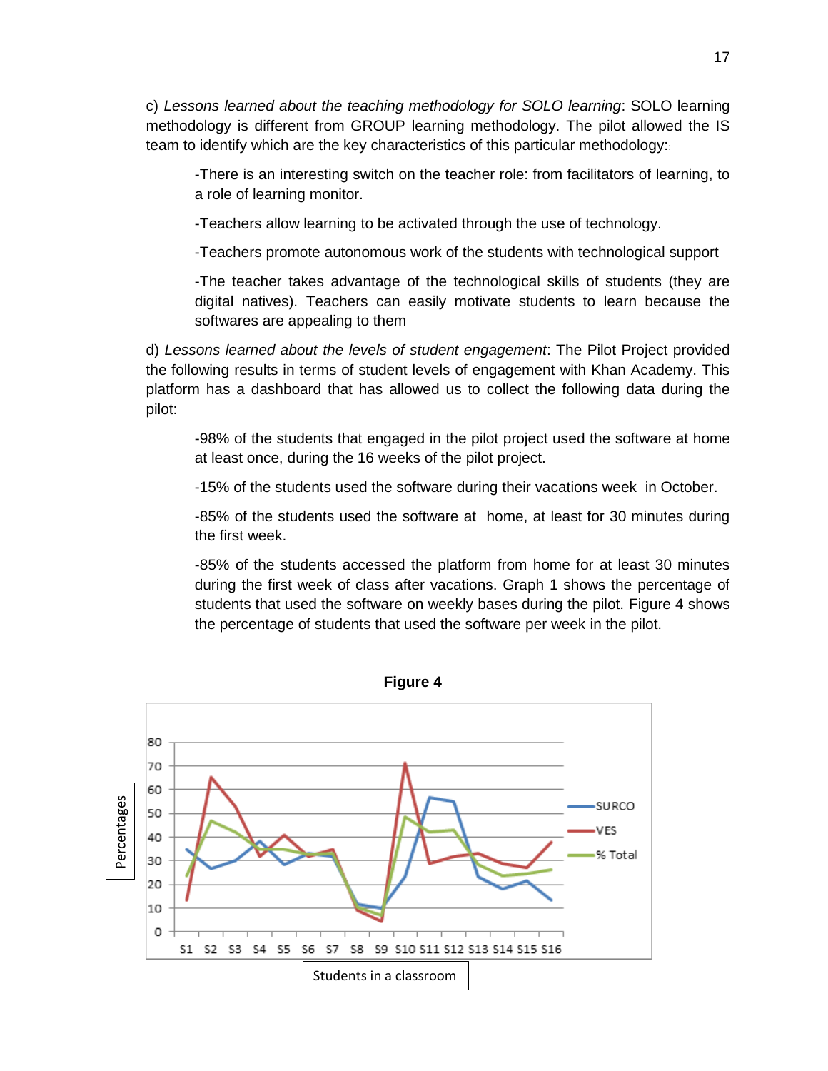c) *Lessons learned about the teaching methodology for SOLO learning*: SOLO learning methodology is different from GROUP learning methodology. The pilot allowed the IS team to identify which are the key characteristics of this particular methodology::

-There is an interesting switch on the teacher role: from facilitators of learning, to a role of learning monitor.

-Teachers allow learning to be activated through the use of technology.

-Teachers promote autonomous work of the students with technological support

-The teacher takes advantage of the technological skills of students (they are digital natives). Teachers can easily motivate students to learn because the softwares are appealing to them

d) *Lessons learned about the levels of student engagement*: The Pilot Project provided the following results in terms of student levels of engagement with Khan Academy. This platform has a dashboard that has allowed us to collect the following data during the pilot:

-98% of the students that engaged in the pilot project used the software at home at least once, during the 16 weeks of the pilot project.

-15% of the students used the software during their vacations week in October.

-85% of the students used the software at home, at least for 30 minutes during the first week.

-85% of the students accessed the platform from home for at least 30 minutes during the first week of class after vacations. Graph 1 shows the percentage of students that used the software on weekly bases during the pilot. Figure 4 shows the percentage of students that used the software per week in the pilot.

![](_page_16_Figure_10.jpeg)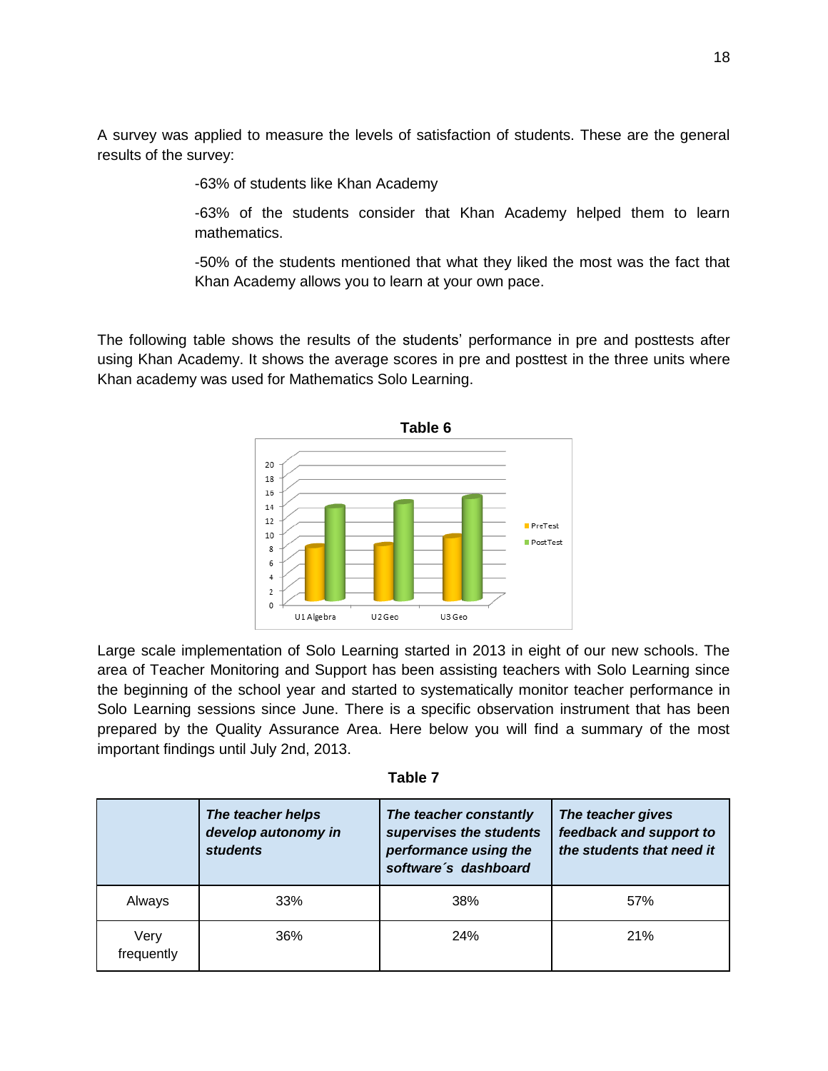A survey was applied to measure the levels of satisfaction of students. These are the general results of the survey:

-63% of students like Khan Academy

-63% of the students consider that Khan Academy helped them to learn mathematics.

-50% of the students mentioned that what they liked the most was the fact that Khan Academy allows you to learn at your own pace.

The following table shows the results of the students' performance in pre and posttests after using Khan Academy. It shows the average scores in pre and posttest in the three units where Khan academy was used for Mathematics Solo Learning.

![](_page_17_Figure_5.jpeg)

Large scale implementation of Solo Learning started in 2013 in eight of our new schools. The area of Teacher Monitoring and Support has been assisting teachers with Solo Learning since the beginning of the school year and started to systematically monitor teacher performance in Solo Learning sessions since June. There is a specific observation instrument that has been prepared by the Quality Assurance Area. Here below you will find a summary of the most important findings until July 2nd, 2013.

| abi |  |
|-----|--|
|-----|--|

|                    | The teacher helps<br>develop autonomy in<br><b>students</b> | The teacher constantly<br>supervises the students<br>performance using the<br>software's dashboard | The teacher gives<br>feedback and support to<br>the students that need it |
|--------------------|-------------------------------------------------------------|----------------------------------------------------------------------------------------------------|---------------------------------------------------------------------------|
| Always             | 33%                                                         | 38%                                                                                                | 57%                                                                       |
| Very<br>frequently | 36%                                                         | <b>24%</b>                                                                                         | 21%                                                                       |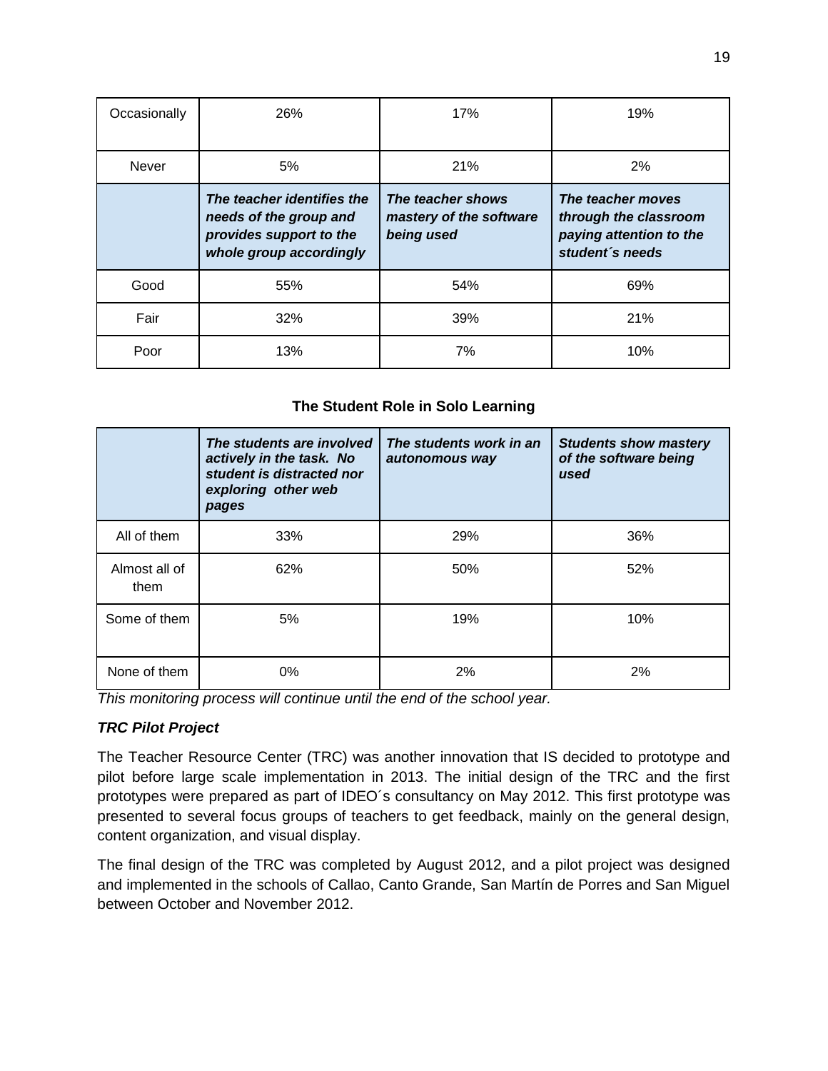| Occasionally | 26%                                                                                                        | 17%                                                        | 19%                                                                                      |
|--------------|------------------------------------------------------------------------------------------------------------|------------------------------------------------------------|------------------------------------------------------------------------------------------|
| Never        | 5%                                                                                                         | 21%                                                        | 2%                                                                                       |
|              | The teacher identifies the<br>needs of the group and<br>provides support to the<br>whole group accordingly | The teacher shows<br>mastery of the software<br>being used | The teacher moves<br>through the classroom<br>paying attention to the<br>student's needs |
| Good         | 55%                                                                                                        | 54%                                                        | 69%                                                                                      |
| Fair         | 32%                                                                                                        | 39%                                                        | 21%                                                                                      |
| Poor         | 13%                                                                                                        | 7%                                                         | 10%                                                                                      |

# **The Student Role in Solo Learning**

|                       | The students are involved<br>actively in the task. No<br>student is distracted nor<br>exploring other web<br>pages | The students work in an<br>autonomous way | <b>Students show mastery</b><br>of the software being<br>used |
|-----------------------|--------------------------------------------------------------------------------------------------------------------|-------------------------------------------|---------------------------------------------------------------|
| All of them           | 33%                                                                                                                | 29%                                       | 36%                                                           |
| Almost all of<br>them | 62%                                                                                                                | 50%                                       | 52%                                                           |
| Some of them          | 5%                                                                                                                 | 19%                                       | 10%                                                           |
| None of them          | $0\%$                                                                                                              | 2%                                        | 2%                                                            |

*This monitoring process will continue until the end of the school year.* 

## *TRC Pilot Project*

The Teacher Resource Center (TRC) was another innovation that IS decided to prototype and pilot before large scale implementation in 2013. The initial design of the TRC and the first prototypes were prepared as part of IDEO´s consultancy on May 2012. This first prototype was presented to several focus groups of teachers to get feedback, mainly on the general design, content organization, and visual display.

The final design of the TRC was completed by August 2012, and a pilot project was designed and implemented in the schools of Callao, Canto Grande, San Martín de Porres and San Miguel between October and November 2012.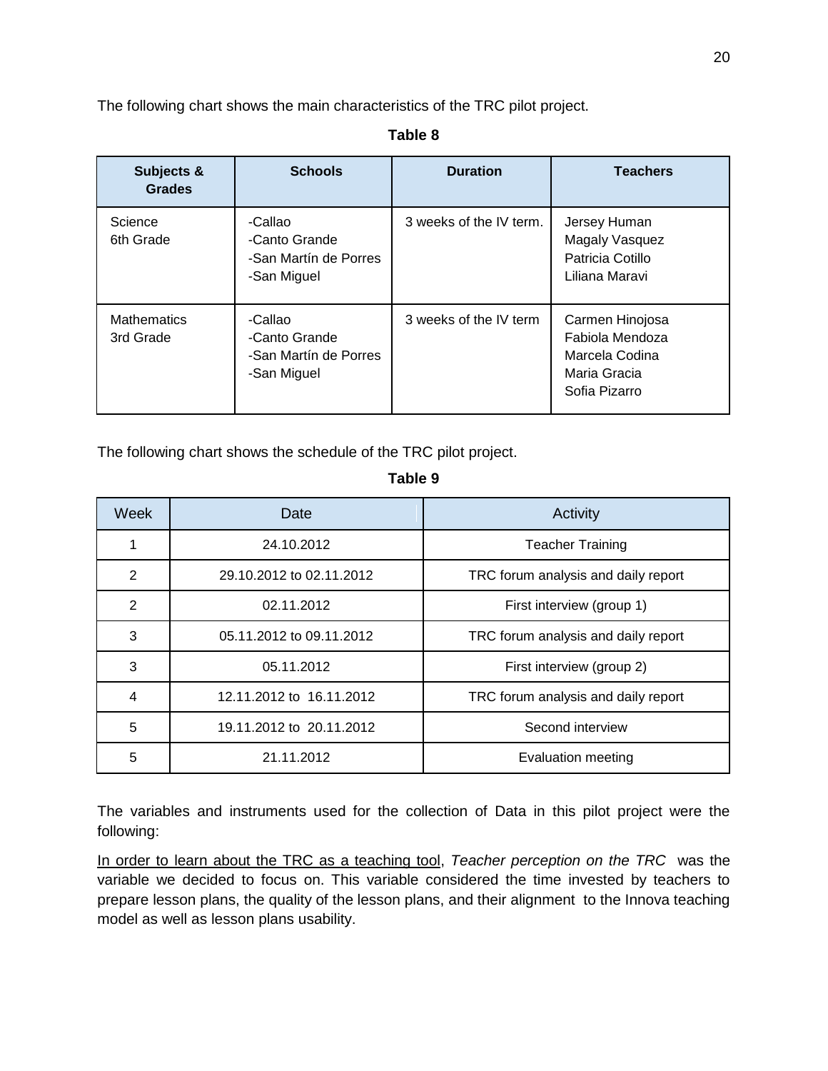The following chart shows the main characteristics of the TRC pilot project.

#### **Table 8**

| Subjects &<br><b>Grades</b>     | <b>Schools</b>                                                   | <b>Duration</b>         | <b>Teachers</b>                                                                       |
|---------------------------------|------------------------------------------------------------------|-------------------------|---------------------------------------------------------------------------------------|
| Science<br>6th Grade            | -Callao<br>-Canto Grande<br>-San Martín de Porres<br>-San Miguel | 3 weeks of the IV term. | Jersey Human<br>Magaly Vasquez<br>Patricia Cotillo<br>Liliana Maravi                  |
| <b>Mathematics</b><br>3rd Grade | -Callao<br>-Canto Grande<br>-San Martín de Porres<br>-San Miguel | 3 weeks of the IV term  | Carmen Hinojosa<br>Fabiola Mendoza<br>Marcela Codina<br>Maria Gracia<br>Sofia Pizarro |

The following chart shows the schedule of the TRC pilot project.

## **Table 9**

| Week           | Date                     | Activity                            |  |
|----------------|--------------------------|-------------------------------------|--|
|                | 24.10.2012               | <b>Teacher Training</b>             |  |
| 2              | 29.10.2012 to 02.11.2012 | TRC forum analysis and daily report |  |
| 2              | 02.11.2012               | First interview (group 1)           |  |
| 3              | 05.11.2012 to 09.11.2012 | TRC forum analysis and daily report |  |
| 3              | 05.11.2012               | First interview (group 2)           |  |
| $\overline{4}$ | 12.11.2012 to 16.11.2012 | TRC forum analysis and daily report |  |
| 5              | 19.11.2012 to 20.11.2012 | Second interview                    |  |
| 5              | 21.11.2012               | Evaluation meeting                  |  |

The variables and instruments used for the collection of Data in this pilot project were the following:

In order to learn about the TRC as a teaching tool, *Teacher perception on the TRC* was the variable we decided to focus on. This variable considered the time invested by teachers to prepare lesson plans, the quality of the lesson plans, and their alignment to the Innova teaching model as well as lesson plans usability.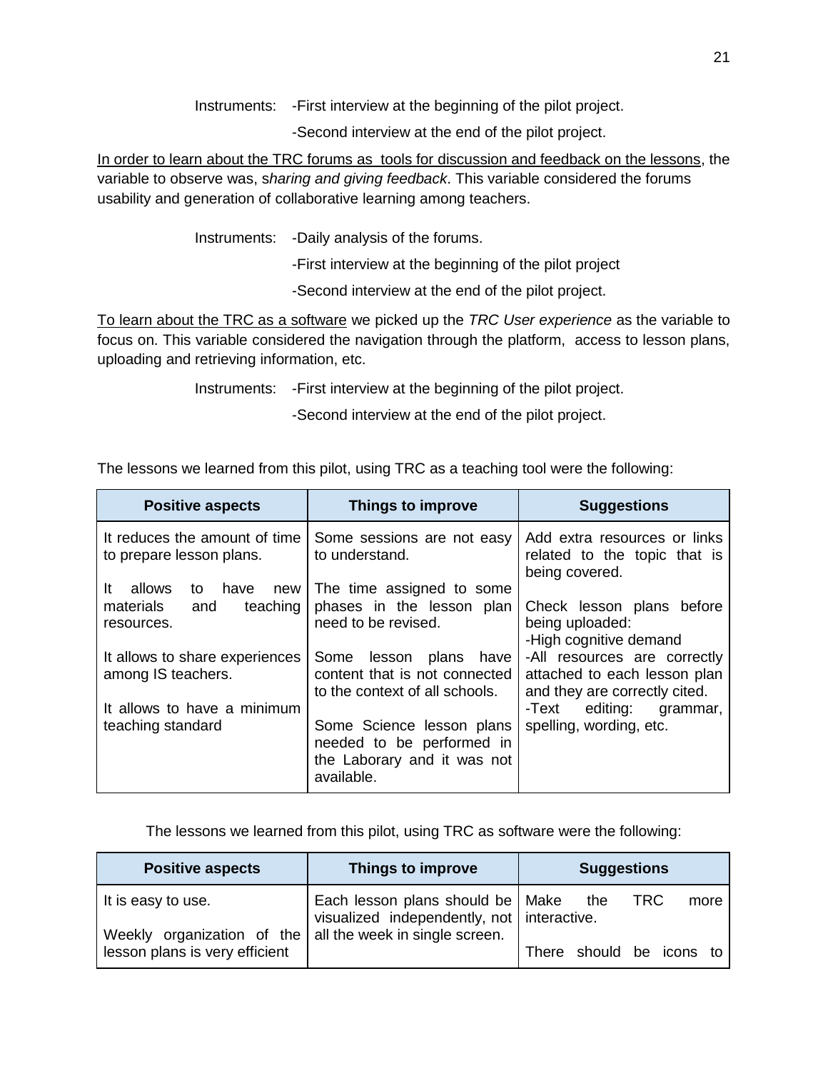Instruments: -First interview at the beginning of the pilot project.

-Second interview at the end of the pilot project.

In order to learn about the TRC forums as tools for discussion and feedback on the lessons, the variable to observe was, s*haring and giving feedback*. This variable considered the forums usability and generation of collaborative learning among teachers.

Instruments: -Daily analysis of the forums.

-First interview at the beginning of the pilot project

-Second interview at the end of the pilot project.

To learn about the TRC as a software we picked up the *TRC User experience* as the variable to focus on. This variable considered the navigation through the platform, access to lesson plans, uploading and retrieving information, etc.

Instruments: -First interview at the beginning of the pilot project.

-Second interview at the end of the pilot project.

| <b>Positive aspects</b>                                                           | Things to improve                                                                                   | <b>Suggestions</b>                                                                            |  |
|-----------------------------------------------------------------------------------|-----------------------------------------------------------------------------------------------------|-----------------------------------------------------------------------------------------------|--|
| It reduces the amount of time<br>to prepare lesson plans.                         | Some sessions are not easy<br>to understand.                                                        | Add extra resources or links<br>related to the topic that is<br>being covered.                |  |
| It<br>allows<br>have<br>to<br>new I<br>teaching<br>materials<br>and<br>resources. | The time assigned to some<br>phases in the lesson plan<br>need to be revised.                       | Check lesson plans before<br>being uploaded:<br>-High cognitive demand                        |  |
| It allows to share experiences<br>among IS teachers.                              | Some<br>lesson plans have<br>content that is not connected<br>to the context of all schools.        | -All resources are correctly<br>attached to each lesson plan<br>and they are correctly cited. |  |
| It allows to have a minimum<br>teaching standard                                  | Some Science lesson plans<br>needed to be performed in<br>the Laborary and it was not<br>available. | -Text<br>editing: grammar,<br>spelling, wording, etc.                                         |  |

The lessons we learned from this pilot, using TRC as a teaching tool were the following:

The lessons we learned from this pilot, using TRC as software were the following:

| <b>Positive aspects</b>                                      | Things to improve                                                                  | <b>Suggestions</b>       |
|--------------------------------------------------------------|------------------------------------------------------------------------------------|--------------------------|
| It is easy to use.                                           | Each lesson plans should be   Make<br>visualized independently, not   interactive. | TRC<br>the<br>more       |
| Weekly organization of the<br>lesson plans is very efficient | all the week in single screen.                                                     | There should be icons to |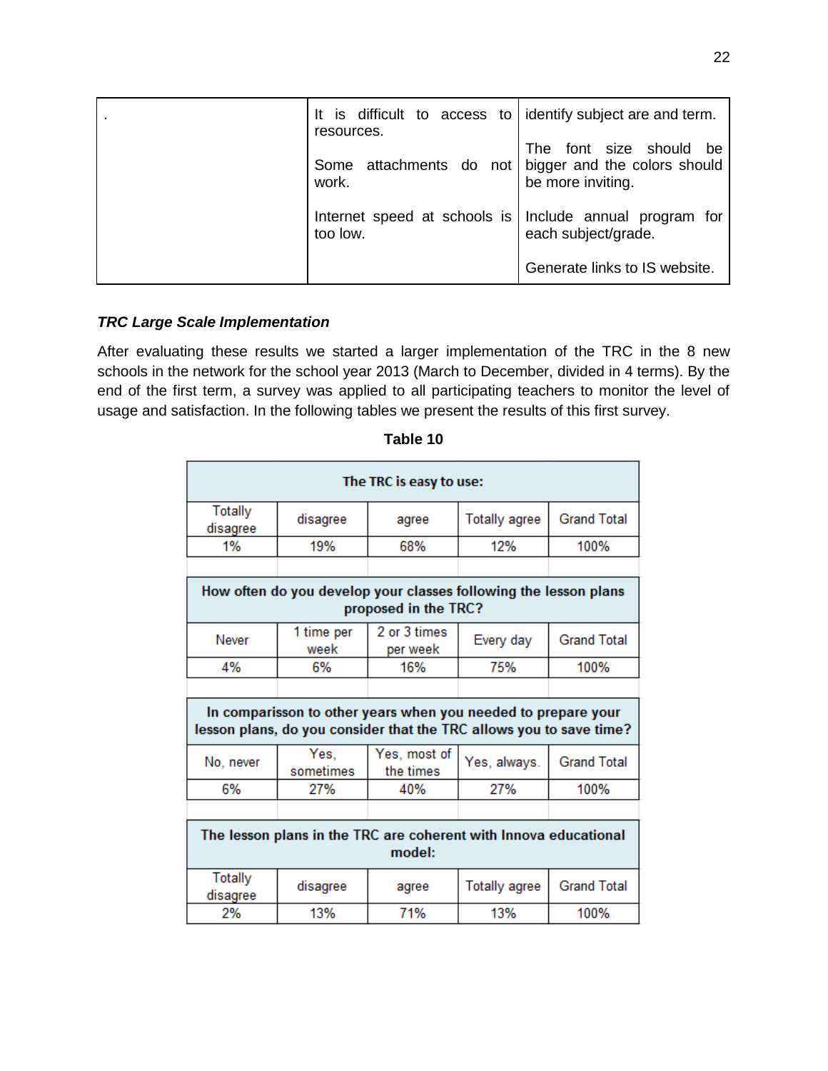| It is difficult to access to identify subject are and term.<br>resources. |                                                                                 |
|---------------------------------------------------------------------------|---------------------------------------------------------------------------------|
| attachments do not  <br>Some<br>work.                                     | font size should be<br>The<br>bigger and the colors should<br>be more inviting. |
| Internet speed at schools is<br>too low.                                  | Include annual program for<br>each subject/grade.                               |
|                                                                           | Generate links to IS website.                                                   |

# *TRC Large Scale Implementation*

After evaluating these results we started a larger implementation of the TRC in the 8 new schools in the network for the school year 2013 (March to December, divided in 4 terms). By the end of the first term, a survey was applied to all participating teachers to monitor the level of usage and satisfaction. In the following tables we present the results of this first survey.

| The TRC is easy to use:                                                                  |                                                                                                                                      |                           |                      |                    |  |
|------------------------------------------------------------------------------------------|--------------------------------------------------------------------------------------------------------------------------------------|---------------------------|----------------------|--------------------|--|
| Totally<br>disagree                                                                      | disagree                                                                                                                             | agree                     | <b>Totally agree</b> | <b>Grand Total</b> |  |
| 1%                                                                                       | 19%                                                                                                                                  | 68%                       | 12%                  | 100%               |  |
|                                                                                          |                                                                                                                                      |                           |                      |                    |  |
| How often do you develop your classes following the lesson plans<br>proposed in the TRC? |                                                                                                                                      |                           |                      |                    |  |
| Never                                                                                    | 1 time per<br>week                                                                                                                   | 2 or 3 times<br>per week  | Every day            | <b>Grand Total</b> |  |
| 4%                                                                                       | 6%                                                                                                                                   | 16%                       | 75%                  | 100%               |  |
|                                                                                          |                                                                                                                                      |                           |                      |                    |  |
|                                                                                          | In comparisson to other years when you needed to prepare your<br>lesson plans, do you consider that the TRC allows you to save time? |                           |                      |                    |  |
| No, never                                                                                | Yes.<br>sometimes                                                                                                                    | Yes, most of<br>the times | Yes, always.         | <b>Grand Total</b> |  |
| 6%                                                                                       | 27%                                                                                                                                  | 40%                       | 27%                  | 100%               |  |
|                                                                                          |                                                                                                                                      |                           |                      |                    |  |
| The lesson plans in the TRC are coherent with Innova educational<br>model:               |                                                                                                                                      |                           |                      |                    |  |
| <b>Totally</b><br>disagree                                                               | disagree                                                                                                                             | agree                     | <b>Totally agree</b> | <b>Grand Total</b> |  |
| 2%                                                                                       | 13%                                                                                                                                  | 71%                       | 13%                  | 100%               |  |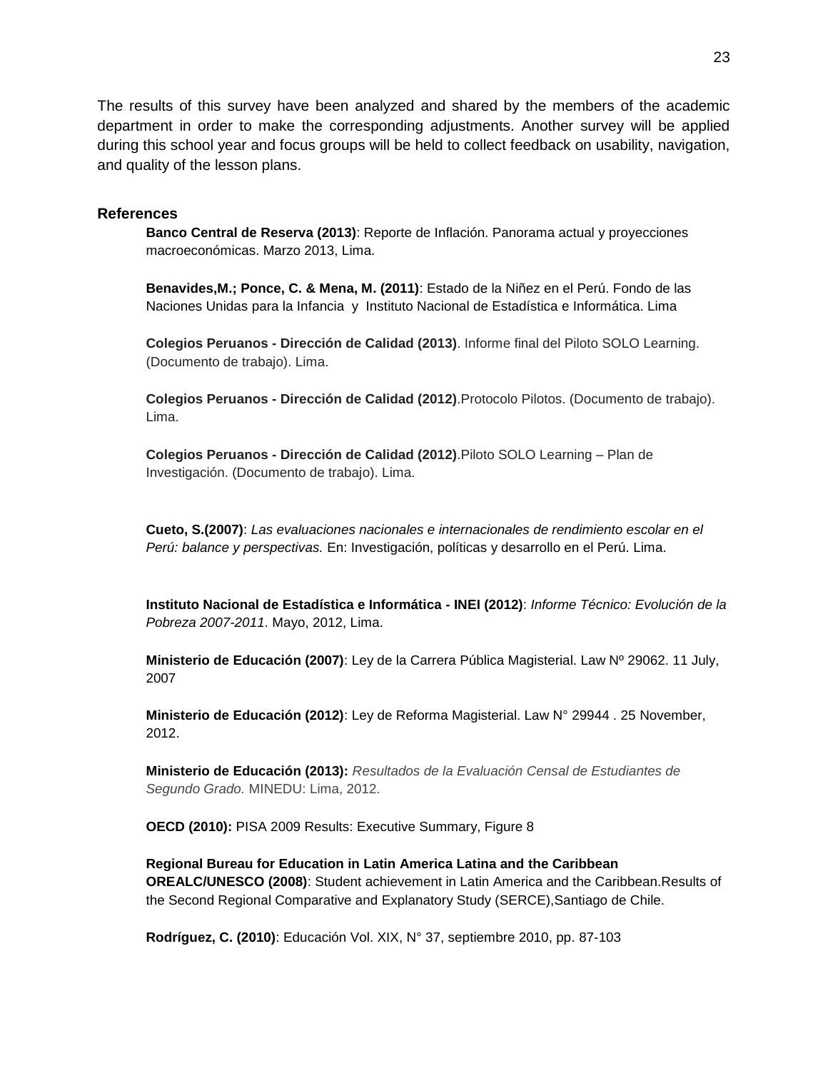The results of this survey have been analyzed and shared by the members of the academic department in order to make the corresponding adjustments. Another survey will be applied during this school year and focus groups will be held to collect feedback on usability, navigation, and quality of the lesson plans.

#### **References**

**Banco Central de Reserva (2013)**: Reporte de Inflación. Panorama actual y proyecciones macroeconómicas. Marzo 2013, Lima.

**Benavides,M.; Ponce, C. & Mena, M. (2011)**: Estado de la Niñez en el Perú. Fondo de las Naciones Unidas para la Infancia y Instituto Nacional de Estadística e Informática. Lima

**Colegios Peruanos - Dirección de Calidad (2013)**. Informe final del Piloto SOLO Learning. (Documento de trabajo). Lima.

**Colegios Peruanos - Dirección de Calidad (2012)**.Protocolo Pilotos. (Documento de trabajo). Lima.

**Colegios Peruanos - Dirección de Calidad (2012)**.Piloto SOLO Learning – Plan de Investigación. (Documento de trabajo). Lima.

**Cueto, S.(2007)**: *Las evaluaciones nacionales e internacionales de rendimiento escolar en el Perú: balance y perspectivas.* En: Investigación, políticas y desarrollo en el Perú. Lima.

**Instituto Nacional de Estadística e Informática - INEI (2012)**: *Informe Técnico: Evolución de la Pobreza 2007-2011*. Mayo, 2012, Lima.

**Ministerio de Educación (2007)**: Ley de la Carrera Pública Magisterial. Law Nº 29062. 11 July, 2007

**Ministerio de Educación (2012)**: Ley de Reforma Magisterial. Law N° 29944 . 25 November, 2012.

**Ministerio de Educación (2013):** *Resultados de la Evaluación Censal de Estudiantes de Segundo Grado.* MINEDU: Lima, 2012.

**OECD (2010):** PISA 2009 Results: Executive Summary, Figure 8

**Regional Bureau for Education in Latin America Latina and the Caribbean OREALC/UNESCO (2008)**: Student achievement in Latin America and the Caribbean.Results of the Second Regional Comparative and Explanatory Study (SERCE),Santiago de Chile.

**Rodríguez, C. (2010)**: Educación Vol. XIX, N° 37, septiembre 2010, pp. 87-103